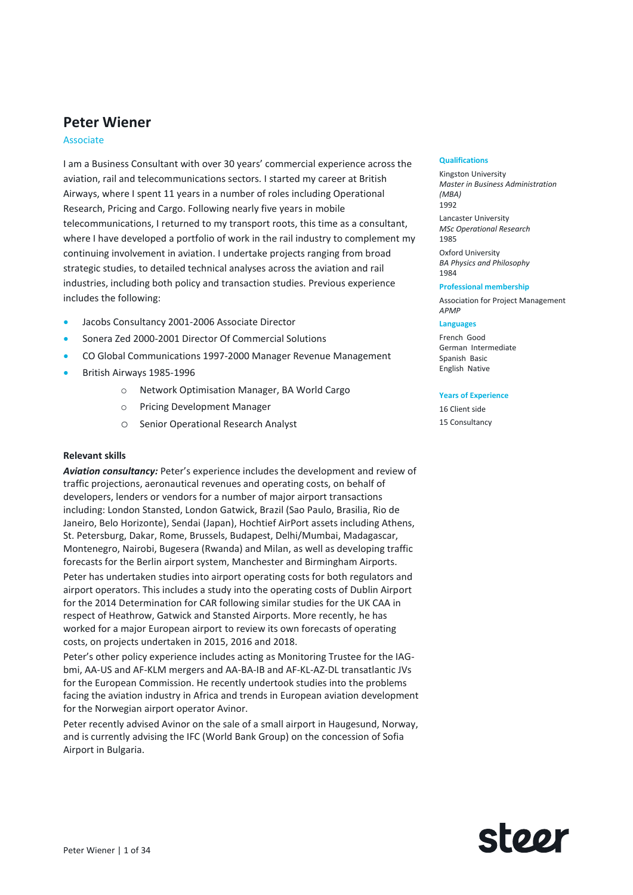# **Peter Wiener**

### Associate

I am a Business Consultant with over 30 years' commercial experience across the aviation, rail and telecommunications sectors. I started my career at British Airways, where I spent 11 years in a number of roles including Operational Research, Pricing and Cargo. Following nearly five years in mobile telecommunications, I returned to my transport roots, this time as a consultant, where I have developed a portfolio of work in the rail industry to complement my continuing involvement in aviation. I undertake projects ranging from broad strategic studies, to detailed technical analyses across the aviation and rail industries, including both policy and transaction studies. Previous experience includes the following:

- Jacobs Consultancy 2001-2006 Associate Director
- Sonera Zed 2000-2001 Director Of Commercial Solutions
- CO Global Communications 1997-2000 Manager Revenue Management
- British Airways 1985-1996
	- o Network Optimisation Manager, BA World Cargo
	- o Pricing Development Manager
	- o Senior Operational Research Analyst

### **Relevant skills**

*Aviation consultancy:* Peter's experience includes the development and review of traffic projections, aeronautical revenues and operating costs, on behalf of developers, lenders or vendors for a number of major airport transactions including: London Stansted, London Gatwick, Brazil (Sao Paulo, Brasilia, Rio de Janeiro, Belo Horizonte), Sendai (Japan), Hochtief AirPort assets including Athens, St. Petersburg, Dakar, Rome, Brussels, Budapest, Delhi/Mumbai, Madagascar, Montenegro, Nairobi, Bugesera (Rwanda) and Milan, as well as developing traffic forecasts for the Berlin airport system, Manchester and Birmingham Airports.

Peter has undertaken studies into airport operating costs for both regulators and airport operators. This includes a study into the operating costs of Dublin Airport for the 2014 Determination for CAR following similar studies for the UK CAA in respect of Heathrow, Gatwick and Stansted Airports. More recently, he has worked for a major European airport to review its own forecasts of operating costs, on projects undertaken in 2015, 2016 and 2018.

Peter's other policy experience includes acting as Monitoring Trustee for the IAGbmi, AA-US and AF-KLM mergers and AA-BA-IB and AF-KL-AZ-DL transatlantic JVs for the European Commission. He recently undertook studies into the problems facing the aviation industry in Africa and trends in European aviation development for the Norwegian airport operator Avinor.

Peter recently advised Avinor on the sale of a small airport in Haugesund, Norway, and is currently advising the IFC (World Bank Group) on the concession of Sofia Airport in Bulgaria.

#### **Qualifications**

Kingston University *Master in Business Administration (MBA)* 1992 Lancaster University

*MSc Operational Research* 1985

Oxford University *BA Physics and Philosophy* 1984

#### **Professional membership**

Association for Project Management *APMP*

#### **Languages**

French Good German Intermediate Spanish Basic English Native

#### **Years of Experience**

16 Client side 15 Consultancy

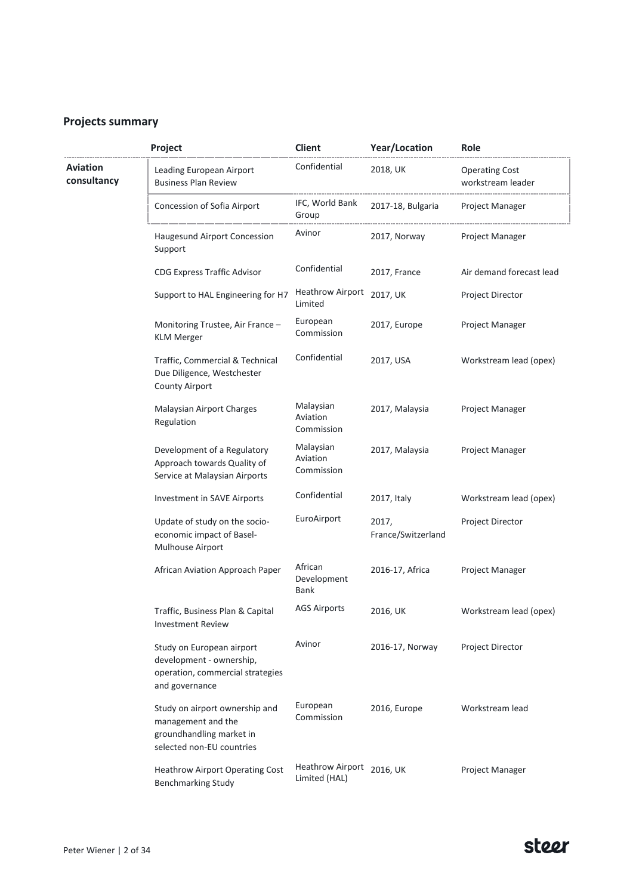# **Projects summary**

|                         | Project                                                                                                       | Client                                     | Year/Location               | Role                                       |
|-------------------------|---------------------------------------------------------------------------------------------------------------|--------------------------------------------|-----------------------------|--------------------------------------------|
| Aviation<br>consultancy | Leading European Airport<br><b>Business Plan Review</b>                                                       | Confidential                               | 2018, UK                    | <b>Operating Cost</b><br>workstream leader |
|                         | Concession of Sofia Airport                                                                                   | IFC, World Bank<br>Group                   | 2017-18, Bulgaria           | Project Manager                            |
|                         | Haugesund Airport Concession<br>Support                                                                       | Avinor                                     | 2017, Norway                | Project Manager                            |
|                         | <b>CDG Express Traffic Advisor</b>                                                                            | Confidential                               | 2017, France                | Air demand forecast lead                   |
|                         | Support to HAL Engineering for H7                                                                             | <b>Heathrow Airport</b><br>Limited         | 2017, UK                    | Project Director                           |
|                         | Monitoring Trustee, Air France -<br><b>KLM Merger</b>                                                         | European<br>Commission                     | 2017, Europe                | Project Manager                            |
|                         | Traffic, Commercial & Technical<br>Due Diligence, Westchester<br><b>County Airport</b>                        | Confidential                               | 2017, USA                   | Workstream lead (opex)                     |
|                         | Malaysian Airport Charges<br>Regulation                                                                       | Malaysian<br>Aviation<br>Commission        | 2017, Malaysia              | Project Manager                            |
|                         | Development of a Regulatory<br>Approach towards Quality of<br>Service at Malaysian Airports                   | Malaysian<br>Aviation<br>Commission        | 2017, Malaysia              | Project Manager                            |
|                         | Investment in SAVE Airports                                                                                   | Confidential                               | 2017, Italy                 | Workstream lead (opex)                     |
|                         | Update of study on the socio-<br>economic impact of Basel-<br>Mulhouse Airport                                | EuroAirport                                | 2017,<br>France/Switzerland | Project Director                           |
|                         | African Aviation Approach Paper                                                                               | African<br>Development<br><b>Bank</b>      | 2016-17, Africa             | Project Manager                            |
|                         | Traffic, Business Plan & Capital<br><b>Investment Review</b>                                                  | <b>AGS Airports</b>                        | 2016, UK                    | Workstream lead (opex)                     |
|                         | Study on European airport<br>development - ownership,<br>operation, commercial strategies<br>and governance   | Avinor                                     | 2016-17, Norway             | <b>Project Director</b>                    |
|                         | Study on airport ownership and<br>management and the<br>groundhandling market in<br>selected non-EU countries | European<br>Commission                     | 2016, Europe                | Workstream lead                            |
|                         | <b>Heathrow Airport Operating Cost</b><br><b>Benchmarking Study</b>                                           | Heathrow Airport 2016, UK<br>Limited (HAL) |                             | Project Manager                            |

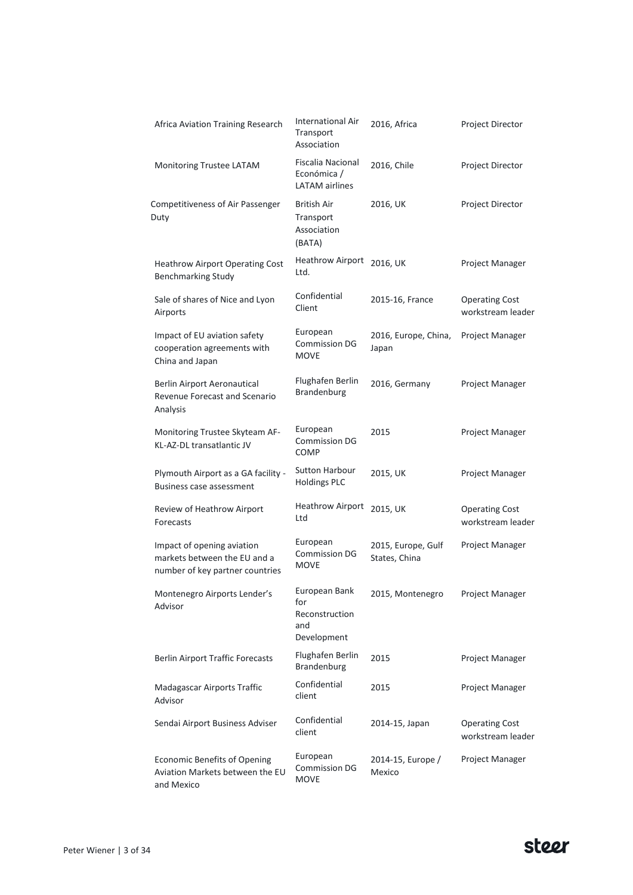| Africa Aviation Training Research                                                             | <b>International Air</b><br>Transport<br>Association         | 2016, Africa                        | <b>Project Director</b>                    |
|-----------------------------------------------------------------------------------------------|--------------------------------------------------------------|-------------------------------------|--------------------------------------------|
| Monitoring Trustee LATAM                                                                      | Fiscalia Nacional<br>Económica /<br><b>LATAM</b> airlines    | 2016, Chile                         | Project Director                           |
| Competitiveness of Air Passenger<br>Duty                                                      | British Air<br>Transport<br>Association<br>(BATA)            | 2016, UK                            | Project Director                           |
| <b>Heathrow Airport Operating Cost</b><br><b>Benchmarking Study</b>                           | <b>Heathrow Airport</b><br>Ltd.                              | 2016, UK                            | Project Manager                            |
| Sale of shares of Nice and Lyon<br>Airports                                                   | Confidential<br>Client                                       | 2015-16, France                     | <b>Operating Cost</b><br>workstream leader |
| Impact of EU aviation safety<br>cooperation agreements with<br>China and Japan                | European<br><b>Commission DG</b><br><b>MOVE</b>              | 2016, Europe, China,<br>Japan       | Project Manager                            |
| Berlin Airport Aeronautical<br>Revenue Forecast and Scenario<br>Analysis                      | Flughafen Berlin<br>Brandenburg                              | 2016, Germany                       | Project Manager                            |
| Monitoring Trustee Skyteam AF-<br>KL-AZ-DL transatlantic JV                                   | European<br><b>Commission DG</b><br><b>COMP</b>              | 2015                                | Project Manager                            |
| Plymouth Airport as a GA facility -<br><b>Business case assessment</b>                        | Sutton Harbour<br><b>Holdings PLC</b>                        | 2015, UK                            | Project Manager                            |
| Review of Heathrow Airport<br>Forecasts                                                       | <b>Heathrow Airport</b><br>Ltd                               | 2015, UK                            | <b>Operating Cost</b><br>workstream leader |
| Impact of opening aviation<br>markets between the EU and a<br>number of key partner countries | European<br><b>Commission DG</b><br><b>MOVE</b>              | 2015, Europe, Gulf<br>States, China | Project Manager                            |
| Montenegro Airports Lender's<br>Advisor                                                       | European Bank<br>for<br>Reconstruction<br>and<br>Development | 2015, Montenegro                    | Project Manager                            |
| <b>Berlin Airport Traffic Forecasts</b>                                                       | Flughafen Berlin<br>Brandenburg                              | 2015                                | Project Manager                            |
| Madagascar Airports Traffic<br>Advisor                                                        | Confidential<br>client                                       | 2015                                | Project Manager                            |
| Sendai Airport Business Adviser                                                               | Confidential<br>client                                       | 2014-15, Japan                      | <b>Operating Cost</b><br>workstream leader |
| <b>Economic Benefits of Opening</b><br>Aviation Markets between the EU<br>and Mexico          | European<br><b>Commission DG</b><br><b>MOVE</b>              | 2014-15, Europe /<br>Mexico         | Project Manager                            |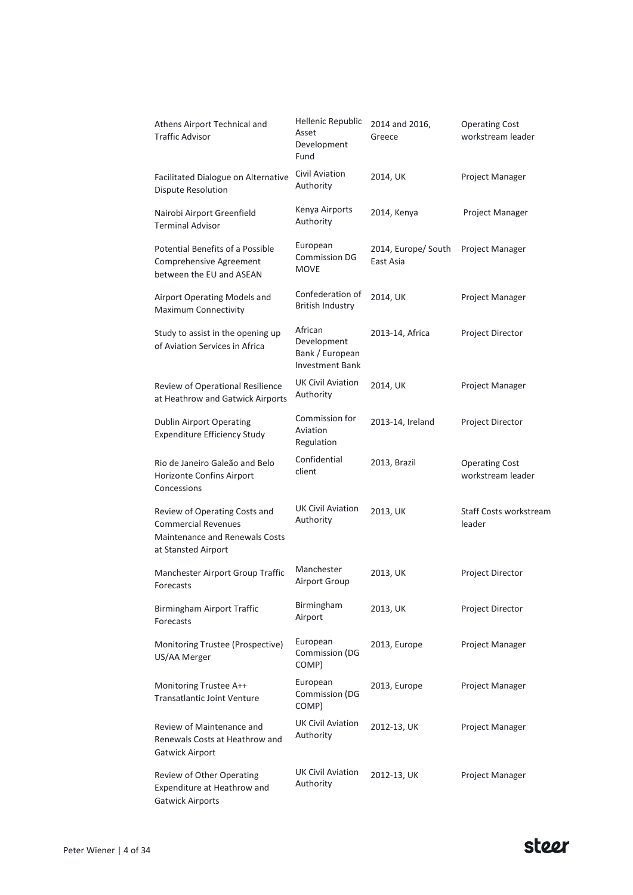| Athens Airport Technical and<br><b>Traffic Advisor</b>                                                                      | Hellenic Republic<br>Asset<br>Development<br>Fund                   | 2014 and 2016,<br>Greece         | <b>Operating Cost</b><br>workstream leader |
|-----------------------------------------------------------------------------------------------------------------------------|---------------------------------------------------------------------|----------------------------------|--------------------------------------------|
| Facilitated Dialogue on Alternative<br>Dispute Resolution                                                                   | Civil Aviation<br>Authority                                         | 2014, UK                         | Project Manager                            |
| Nairobi Airport Greenfield<br><b>Terminal Advisor</b>                                                                       | Kenya Airports<br>Authority                                         | 2014, Kenya                      | Project Manager                            |
| Potential Benefits of a Possible<br>Comprehensive Agreement<br>between the EU and ASEAN                                     | European<br><b>Commission DG</b><br><b>MOVE</b>                     | 2014, Europe/ South<br>East Asia | Project Manager                            |
| Airport Operating Models and<br>Maximum Connectivity                                                                        | Confederation of<br><b>British Industry</b>                         | 2014, UK                         | Project Manager                            |
| Study to assist in the opening up<br>of Aviation Services in Africa                                                         | African<br>Development<br>Bank / European<br><b>Investment Bank</b> | 2013-14, Africa                  | Project Director                           |
| Review of Operational Resilience<br>at Heathrow and Gatwick Airports                                                        | <b>UK Civil Aviation</b><br>Authority                               | 2014, UK                         | Project Manager                            |
| <b>Dublin Airport Operating</b><br><b>Expenditure Efficiency Study</b>                                                      | Commission for<br>Aviation<br>Regulation                            | 2013-14, Ireland                 | Project Director                           |
| Rio de Janeiro Galeão and Belo<br>Horizonte Confins Airport<br>Concessions                                                  | Confidential<br>client                                              | 2013, Brazil                     | <b>Operating Cost</b><br>workstream leader |
| Review of Operating Costs and<br><b>Commercial Revenues</b><br><b>Maintenance and Renewals Costs</b><br>at Stansted Airport | <b>UK Civil Aviation</b><br>Authority                               | 2013, UK                         | Staff Costs workstream<br>leader           |
| Manchester Airport Group Traffic<br>Forecasts                                                                               | Manchester<br>Airport Group                                         | 2013, UK                         | Project Director                           |
| Birmingham Airport Traffic<br>Forecasts                                                                                     | Birmingham<br>Airport                                               | 2013, UK                         | Project Director                           |
| Monitoring Trustee (Prospective)<br>US/AA Merger                                                                            | European<br>Commission (DG<br>COMP)                                 | 2013, Europe                     | Project Manager                            |
| Monitoring Trustee A++<br><b>Transatlantic Joint Venture</b>                                                                | European<br>Commission (DG<br>COMP)                                 | 2013, Europe                     | Project Manager                            |
| Review of Maintenance and<br>Renewals Costs at Heathrow and<br>Gatwick Airport                                              | <b>UK Civil Aviation</b><br>Authority                               | 2012-13, UK                      | Project Manager                            |
| Review of Other Operating<br>Expenditure at Heathrow and<br><b>Gatwick Airports</b>                                         | <b>UK Civil Aviation</b><br>Authority                               | 2012-13, UK                      | Project Manager                            |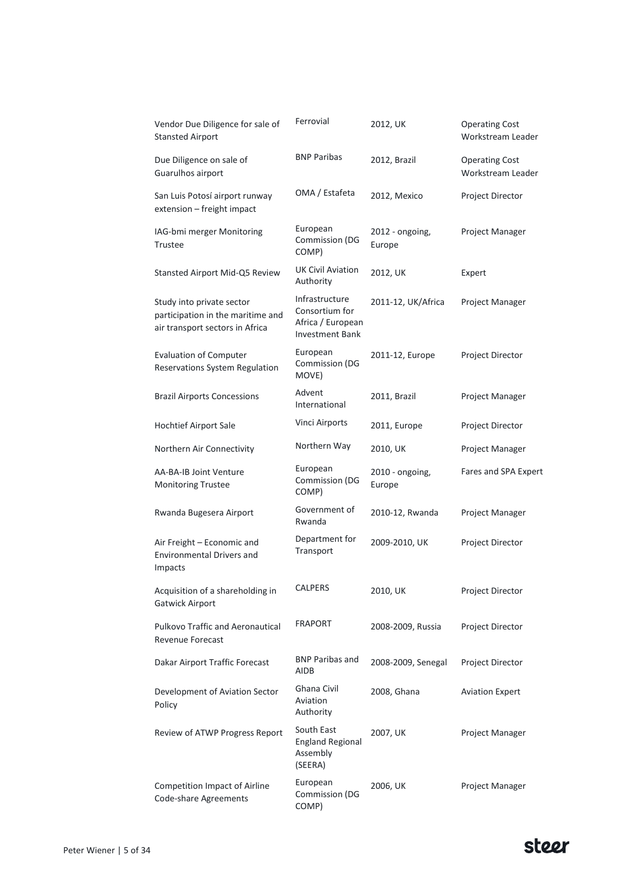| Vendor Due Diligence for sale of<br><b>Stansted Airport</b>                                       | Ferrovial                                                                       | 2012, UK                  | <b>Operating Cost</b><br>Workstream Leader |
|---------------------------------------------------------------------------------------------------|---------------------------------------------------------------------------------|---------------------------|--------------------------------------------|
| Due Diligence on sale of<br>Guarulhos airport                                                     | <b>BNP Paribas</b>                                                              | 2012, Brazil              | <b>Operating Cost</b><br>Workstream Leader |
| San Luis Potosí airport runway<br>extension - freight impact                                      | OMA / Estafeta                                                                  | 2012, Mexico              | Project Director                           |
| IAG-bmi merger Monitoring<br>Trustee                                                              | European<br>Commission (DG<br>COMP)                                             | 2012 - ongoing,<br>Europe | Project Manager                            |
| Stansted Airport Mid-Q5 Review                                                                    | <b>UK Civil Aviation</b><br>Authority                                           | 2012, UK                  | Expert                                     |
| Study into private sector<br>participation in the maritime and<br>air transport sectors in Africa | Infrastructure<br>Consortium for<br>Africa / European<br><b>Investment Bank</b> | 2011-12, UK/Africa        | Project Manager                            |
| <b>Evaluation of Computer</b><br>Reservations System Regulation                                   | European<br>Commission (DG<br>MOVE)                                             | 2011-12, Europe           | Project Director                           |
| <b>Brazil Airports Concessions</b>                                                                | Advent<br>International                                                         | 2011, Brazil              | Project Manager                            |
| <b>Hochtief Airport Sale</b>                                                                      | Vinci Airports                                                                  | 2011, Europe              | Project Director                           |
| Northern Air Connectivity                                                                         | Northern Way                                                                    | 2010, UK                  | Project Manager                            |
| AA-BA-IB Joint Venture<br><b>Monitoring Trustee</b>                                               | European<br>Commission (DG<br>COMP)                                             | 2010 - ongoing,<br>Europe | Fares and SPA Expert                       |
| Rwanda Bugesera Airport                                                                           | Government of<br>Rwanda                                                         | 2010-12, Rwanda           | Project Manager                            |
| Air Freight - Economic and<br><b>Environmental Drivers and</b><br>Impacts                         | Department for<br>Transport                                                     | 2009-2010, UK             | Project Director                           |
| Acquisition of a shareholding in<br>Gatwick Airport                                               | CALPERS                                                                         | 2010, UK                  | Project Director                           |
| <b>Pulkovo Traffic and Aeronautical</b><br>Revenue Forecast                                       | <b>FRAPORT</b>                                                                  | 2008-2009, Russia         | Project Director                           |
| Dakar Airport Traffic Forecast                                                                    | <b>BNP Paribas and</b><br><b>AIDB</b>                                           | 2008-2009, Senegal        | Project Director                           |
| Development of Aviation Sector<br>Policy                                                          | Ghana Civil<br>Aviation<br>Authority                                            | 2008, Ghana               | <b>Aviation Expert</b>                     |
| Review of ATWP Progress Report                                                                    | South East<br><b>England Regional</b><br>Assembly<br>(SEERA)                    | 2007, UK                  | Project Manager                            |
| Competition Impact of Airline<br>Code-share Agreements                                            | European<br>Commission (DG<br>COMP)                                             | 2006, UK                  | Project Manager                            |

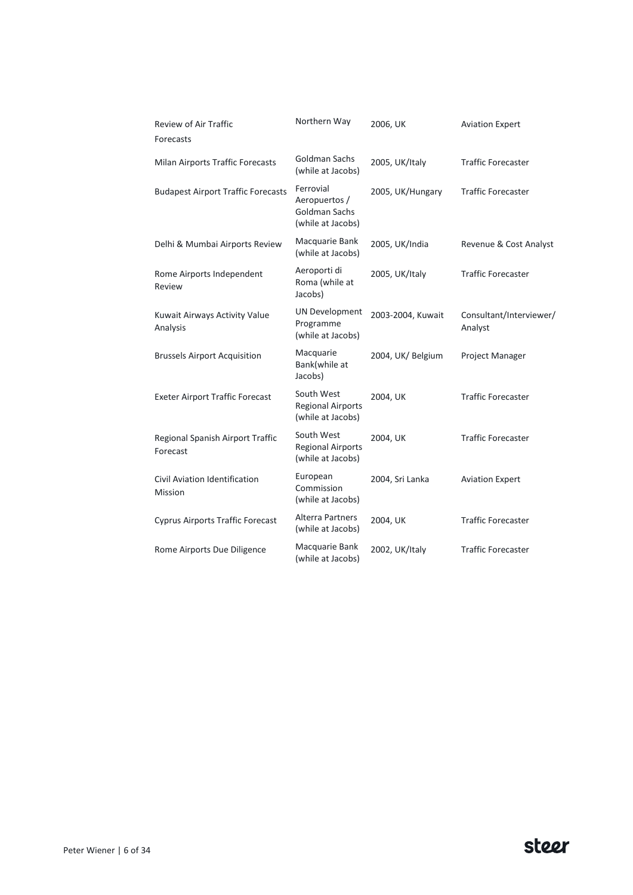| Review of Air Traffic<br>Forecasts              | Northern Way                                                     | 2006, UK          | <b>Aviation Expert</b>             |
|-------------------------------------------------|------------------------------------------------------------------|-------------------|------------------------------------|
| Milan Airports Traffic Forecasts                | Goldman Sachs<br>(while at Jacobs)                               | 2005, UK/Italy    | <b>Traffic Forecaster</b>          |
| <b>Budapest Airport Traffic Forecasts</b>       | Ferrovial<br>Aeropuertos /<br>Goldman Sachs<br>(while at Jacobs) | 2005, UK/Hungary  | <b>Traffic Forecaster</b>          |
| Delhi & Mumbai Airports Review                  | Macquarie Bank<br>(while at Jacobs)                              | 2005, UK/India    | Revenue & Cost Analyst             |
| Rome Airports Independent<br>Review             | Aeroporti di<br>Roma (while at<br>Jacobs)                        | 2005, UK/Italy    | <b>Traffic Forecaster</b>          |
| Kuwait Airways Activity Value<br>Analysis       | <b>UN Development</b><br>Programme<br>(while at Jacobs)          | 2003-2004, Kuwait | Consultant/Interviewer/<br>Analyst |
| <b>Brussels Airport Acquisition</b>             | Macquarie<br>Bank(while at<br>Jacobs)                            | 2004, UK/ Belgium | Project Manager                    |
| <b>Exeter Airport Traffic Forecast</b>          | South West<br><b>Regional Airports</b><br>(while at Jacobs)      | 2004, UK          | <b>Traffic Forecaster</b>          |
| Regional Spanish Airport Traffic<br>Forecast    | South West<br><b>Regional Airports</b><br>(while at Jacobs)      | 2004, UK          | <b>Traffic Forecaster</b>          |
| Civil Aviation Identification<br><b>Mission</b> | European<br>Commission<br>(while at Jacobs)                      | 2004, Sri Lanka   | <b>Aviation Expert</b>             |
| <b>Cyprus Airports Traffic Forecast</b>         | Alterra Partners<br>(while at Jacobs)                            | 2004, UK          | <b>Traffic Forecaster</b>          |
| Rome Airports Due Diligence                     | Macquarie Bank<br>(while at Jacobs)                              | 2002, UK/Italy    | <b>Traffic Forecaster</b>          |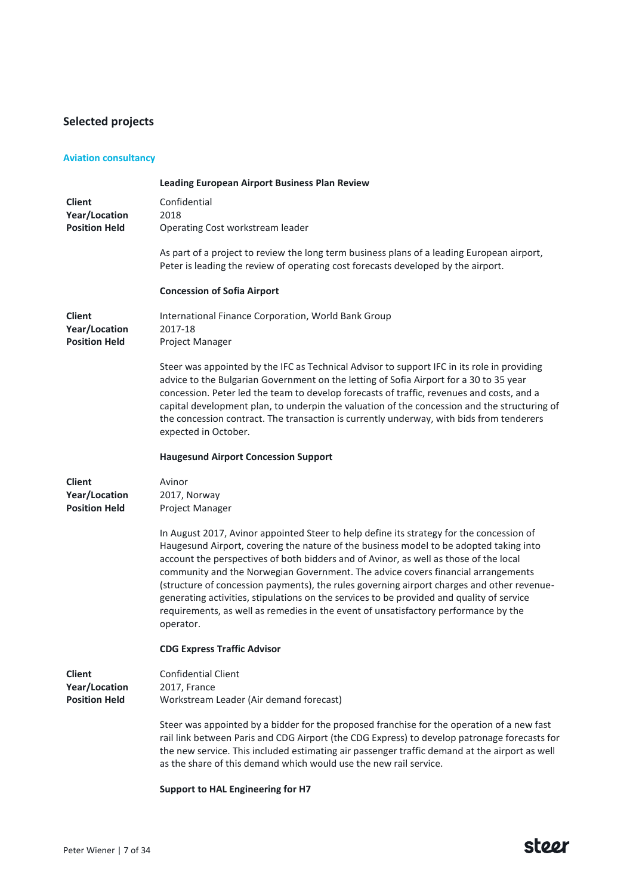# **Selected projects**

# **Aviation consultancy**

|                      | <b>Leading European Airport Business Plan Review</b>                                                                                                                                                                                                                                                                                                                                                                                                                                                                                                                                                                                                           |
|----------------------|----------------------------------------------------------------------------------------------------------------------------------------------------------------------------------------------------------------------------------------------------------------------------------------------------------------------------------------------------------------------------------------------------------------------------------------------------------------------------------------------------------------------------------------------------------------------------------------------------------------------------------------------------------------|
| <b>Client</b>        | Confidential                                                                                                                                                                                                                                                                                                                                                                                                                                                                                                                                                                                                                                                   |
| Year/Location        | 2018                                                                                                                                                                                                                                                                                                                                                                                                                                                                                                                                                                                                                                                           |
| <b>Position Held</b> | Operating Cost workstream leader                                                                                                                                                                                                                                                                                                                                                                                                                                                                                                                                                                                                                               |
|                      | As part of a project to review the long term business plans of a leading European airport,<br>Peter is leading the review of operating cost forecasts developed by the airport.                                                                                                                                                                                                                                                                                                                                                                                                                                                                                |
|                      | <b>Concession of Sofia Airport</b>                                                                                                                                                                                                                                                                                                                                                                                                                                                                                                                                                                                                                             |
| <b>Client</b>        | International Finance Corporation, World Bank Group                                                                                                                                                                                                                                                                                                                                                                                                                                                                                                                                                                                                            |
| Year/Location        | 2017-18                                                                                                                                                                                                                                                                                                                                                                                                                                                                                                                                                                                                                                                        |
| <b>Position Held</b> | Project Manager                                                                                                                                                                                                                                                                                                                                                                                                                                                                                                                                                                                                                                                |
|                      | Steer was appointed by the IFC as Technical Advisor to support IFC in its role in providing<br>advice to the Bulgarian Government on the letting of Sofia Airport for a 30 to 35 year<br>concession. Peter led the team to develop forecasts of traffic, revenues and costs, and a<br>capital development plan, to underpin the valuation of the concession and the structuring of<br>the concession contract. The transaction is currently underway, with bids from tenderers<br>expected in October.                                                                                                                                                         |
|                      | <b>Haugesund Airport Concession Support</b>                                                                                                                                                                                                                                                                                                                                                                                                                                                                                                                                                                                                                    |
| <b>Client</b>        | Avinor                                                                                                                                                                                                                                                                                                                                                                                                                                                                                                                                                                                                                                                         |
| Year/Location        | 2017, Norway                                                                                                                                                                                                                                                                                                                                                                                                                                                                                                                                                                                                                                                   |
| <b>Position Held</b> | Project Manager                                                                                                                                                                                                                                                                                                                                                                                                                                                                                                                                                                                                                                                |
|                      | In August 2017, Avinor appointed Steer to help define its strategy for the concession of<br>Haugesund Airport, covering the nature of the business model to be adopted taking into<br>account the perspectives of both bidders and of Avinor, as well as those of the local<br>community and the Norwegian Government. The advice covers financial arrangements<br>(structure of concession payments), the rules governing airport charges and other revenue-<br>generating activities, stipulations on the services to be provided and quality of service<br>requirements, as well as remedies in the event of unsatisfactory performance by the<br>operator. |
|                      | <b>CDG Express Traffic Advisor</b>                                                                                                                                                                                                                                                                                                                                                                                                                                                                                                                                                                                                                             |
| <b>Client</b>        | <b>Confidential Client</b>                                                                                                                                                                                                                                                                                                                                                                                                                                                                                                                                                                                                                                     |
| <b>Year/Location</b> | 2017, France                                                                                                                                                                                                                                                                                                                                                                                                                                                                                                                                                                                                                                                   |
| <b>Position Held</b> | Workstream Leader (Air demand forecast)                                                                                                                                                                                                                                                                                                                                                                                                                                                                                                                                                                                                                        |
|                      | Steer was appointed by a bidder for the proposed franchise for the operation of a new fast<br>rail link between Paris and CDG Airport (the CDG Express) to develop patronage forecasts for<br>the new service. This included estimating air passenger traffic demand at the airport as well<br>as the share of this demand which would use the new rail service.                                                                                                                                                                                                                                                                                               |
|                      | <b>Support to HAL Engineering for H7</b>                                                                                                                                                                                                                                                                                                                                                                                                                                                                                                                                                                                                                       |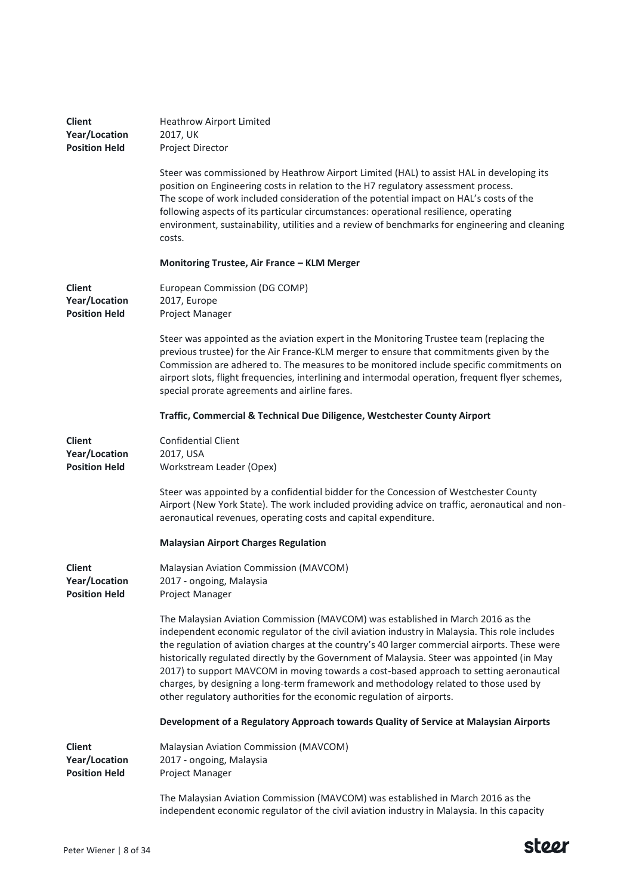| <b>Client</b><br>Year/Location<br><b>Position Held</b>        | <b>Heathrow Airport Limited</b><br>2017, UK<br>Project Director                                                                                                                                                                                                                                                                                                                                                                                                                                                                                                                                                                             |
|---------------------------------------------------------------|---------------------------------------------------------------------------------------------------------------------------------------------------------------------------------------------------------------------------------------------------------------------------------------------------------------------------------------------------------------------------------------------------------------------------------------------------------------------------------------------------------------------------------------------------------------------------------------------------------------------------------------------|
|                                                               | Steer was commissioned by Heathrow Airport Limited (HAL) to assist HAL in developing its<br>position on Engineering costs in relation to the H7 regulatory assessment process.<br>The scope of work included consideration of the potential impact on HAL's costs of the<br>following aspects of its particular circumstances: operational resilience, operating<br>environment, sustainability, utilities and a review of benchmarks for engineering and cleaning<br>costs.                                                                                                                                                                |
|                                                               | Monitoring Trustee, Air France – KLM Merger                                                                                                                                                                                                                                                                                                                                                                                                                                                                                                                                                                                                 |
| <b>Client</b><br><b>Year/Location</b><br><b>Position Held</b> | European Commission (DG COMP)<br>2017, Europe<br>Project Manager                                                                                                                                                                                                                                                                                                                                                                                                                                                                                                                                                                            |
|                                                               | Steer was appointed as the aviation expert in the Monitoring Trustee team (replacing the<br>previous trustee) for the Air France-KLM merger to ensure that commitments given by the<br>Commission are adhered to. The measures to be monitored include specific commitments on<br>airport slots, flight frequencies, interlining and intermodal operation, frequent flyer schemes,<br>special prorate agreements and airline fares.                                                                                                                                                                                                         |
|                                                               | Traffic, Commercial & Technical Due Diligence, Westchester County Airport                                                                                                                                                                                                                                                                                                                                                                                                                                                                                                                                                                   |
| <b>Client</b><br><b>Year/Location</b><br><b>Position Held</b> | <b>Confidential Client</b><br>2017, USA<br>Workstream Leader (Opex)                                                                                                                                                                                                                                                                                                                                                                                                                                                                                                                                                                         |
|                                                               | Steer was appointed by a confidential bidder for the Concession of Westchester County<br>Airport (New York State). The work included providing advice on traffic, aeronautical and non-<br>aeronautical revenues, operating costs and capital expenditure.                                                                                                                                                                                                                                                                                                                                                                                  |
|                                                               | <b>Malaysian Airport Charges Regulation</b>                                                                                                                                                                                                                                                                                                                                                                                                                                                                                                                                                                                                 |
| <b>Client</b><br><b>Year/Location</b><br><b>Position Held</b> | Malaysian Aviation Commission (MAVCOM)<br>2017 - ongoing, Malaysia<br>Project Manager                                                                                                                                                                                                                                                                                                                                                                                                                                                                                                                                                       |
|                                                               | The Malaysian Aviation Commission (MAVCOM) was established in March 2016 as the<br>independent economic regulator of the civil aviation industry in Malaysia. This role includes<br>the regulation of aviation charges at the country's 40 larger commercial airports. These were<br>historically regulated directly by the Government of Malaysia. Steer was appointed (in May<br>2017) to support MAVCOM in moving towards a cost-based approach to setting aeronautical<br>charges, by designing a long-term framework and methodology related to those used by<br>other regulatory authorities for the economic regulation of airports. |
|                                                               | Development of a Regulatory Approach towards Quality of Service at Malaysian Airports                                                                                                                                                                                                                                                                                                                                                                                                                                                                                                                                                       |
| <b>Client</b><br>Year/Location<br><b>Position Held</b>        | Malaysian Aviation Commission (MAVCOM)<br>2017 - ongoing, Malaysia<br>Project Manager                                                                                                                                                                                                                                                                                                                                                                                                                                                                                                                                                       |
|                                                               | The Malaysian Aviation Commission (MAVCOM) was established in March 2016 as the<br>independent economic regulator of the civil aviation industry in Malaysia. In this capacity                                                                                                                                                                                                                                                                                                                                                                                                                                                              |

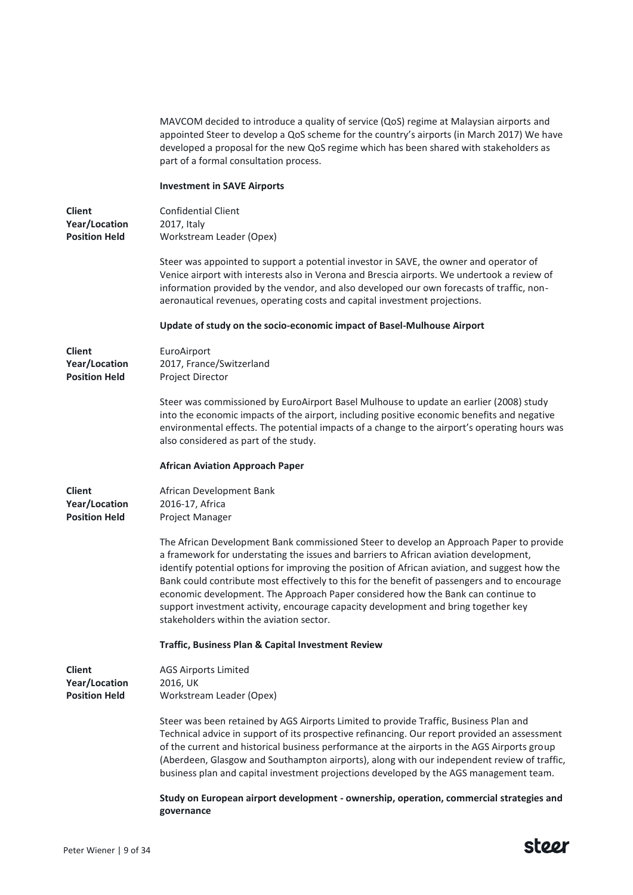|                                                               | MAVCOM decided to introduce a quality of service (QoS) regime at Malaysian airports and<br>appointed Steer to develop a QoS scheme for the country's airports (in March 2017) We have<br>developed a proposal for the new QoS regime which has been shared with stakeholders as<br>part of a formal consultation process.                                                                                                                                                                                                                                                                                 |
|---------------------------------------------------------------|-----------------------------------------------------------------------------------------------------------------------------------------------------------------------------------------------------------------------------------------------------------------------------------------------------------------------------------------------------------------------------------------------------------------------------------------------------------------------------------------------------------------------------------------------------------------------------------------------------------|
|                                                               | <b>Investment in SAVE Airports</b>                                                                                                                                                                                                                                                                                                                                                                                                                                                                                                                                                                        |
| <b>Client</b><br><b>Year/Location</b><br><b>Position Held</b> | <b>Confidential Client</b><br>2017, Italy<br>Workstream Leader (Opex)                                                                                                                                                                                                                                                                                                                                                                                                                                                                                                                                     |
|                                                               | Steer was appointed to support a potential investor in SAVE, the owner and operator of<br>Venice airport with interests also in Verona and Brescia airports. We undertook a review of<br>information provided by the vendor, and also developed our own forecasts of traffic, non-<br>aeronautical revenues, operating costs and capital investment projections.                                                                                                                                                                                                                                          |
|                                                               | Update of study on the socio-economic impact of Basel-Mulhouse Airport                                                                                                                                                                                                                                                                                                                                                                                                                                                                                                                                    |
| <b>Client</b><br>Year/Location<br><b>Position Held</b>        | EuroAirport<br>2017, France/Switzerland<br>Project Director                                                                                                                                                                                                                                                                                                                                                                                                                                                                                                                                               |
|                                                               | Steer was commissioned by EuroAirport Basel Mulhouse to update an earlier (2008) study<br>into the economic impacts of the airport, including positive economic benefits and negative<br>environmental effects. The potential impacts of a change to the airport's operating hours was<br>also considered as part of the study.                                                                                                                                                                                                                                                                           |
|                                                               | <b>African Aviation Approach Paper</b>                                                                                                                                                                                                                                                                                                                                                                                                                                                                                                                                                                    |
| <b>Client</b><br>Year/Location<br><b>Position Held</b>        | African Development Bank<br>2016-17, Africa<br>Project Manager                                                                                                                                                                                                                                                                                                                                                                                                                                                                                                                                            |
|                                                               | The African Development Bank commissioned Steer to develop an Approach Paper to provide<br>a framework for understating the issues and barriers to African aviation development,<br>identify potential options for improving the position of African aviation, and suggest how the<br>Bank could contribute most effectively to this for the benefit of passengers and to encourage<br>economic development. The Approach Paper considered how the Bank can continue to<br>support investment activity, encourage capacity development and bring together key<br>stakeholders within the aviation sector. |
|                                                               | Traffic, Business Plan & Capital Investment Review                                                                                                                                                                                                                                                                                                                                                                                                                                                                                                                                                        |
| <b>Client</b><br><b>Year/Location</b><br><b>Position Held</b> | <b>AGS Airports Limited</b><br>2016, UK<br>Workstream Leader (Opex)                                                                                                                                                                                                                                                                                                                                                                                                                                                                                                                                       |
|                                                               | Steer was been retained by AGS Airports Limited to provide Traffic, Business Plan and<br>Technical advice in support of its prospective refinancing. Our report provided an assessment<br>of the current and historical business performance at the airports in the AGS Airports group<br>(Aberdeen, Glasgow and Southampton airports), along with our independent review of traffic,<br>business plan and capital investment projections developed by the AGS management team.                                                                                                                           |
|                                                               | Study on European airport development - ownership, operation, commercial strategies and<br>governance                                                                                                                                                                                                                                                                                                                                                                                                                                                                                                     |

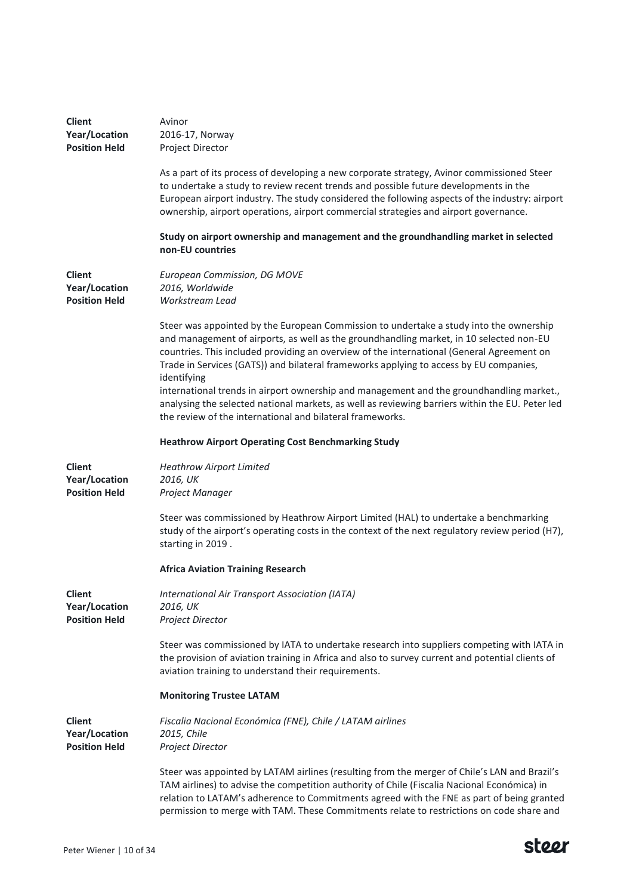| <b>Client</b><br>Year/Location<br><b>Position Held</b> | Avinor<br>2016-17, Norway<br>Project Director                                                                                                                                                                                                                                                                                                                                           |
|--------------------------------------------------------|-----------------------------------------------------------------------------------------------------------------------------------------------------------------------------------------------------------------------------------------------------------------------------------------------------------------------------------------------------------------------------------------|
|                                                        | As a part of its process of developing a new corporate strategy, Avinor commissioned Steer<br>to undertake a study to review recent trends and possible future developments in the<br>European airport industry. The study considered the following aspects of the industry: airport<br>ownership, airport operations, airport commercial strategies and airport governance.            |
|                                                        | Study on airport ownership and management and the groundhandling market in selected<br>non-EU countries                                                                                                                                                                                                                                                                                 |
| <b>Client</b><br>Year/Location<br><b>Position Held</b> | European Commission, DG MOVE<br>2016, Worldwide<br>Workstream Lead                                                                                                                                                                                                                                                                                                                      |
|                                                        | Steer was appointed by the European Commission to undertake a study into the ownership<br>and management of airports, as well as the groundhandling market, in 10 selected non-EU<br>countries. This included providing an overview of the international (General Agreement on<br>Trade in Services (GATS)) and bilateral frameworks applying to access by EU companies,<br>identifying |
|                                                        | international trends in airport ownership and management and the groundhandling market.,<br>analysing the selected national markets, as well as reviewing barriers within the EU. Peter led<br>the review of the international and bilateral frameworks.                                                                                                                                |
|                                                        | <b>Heathrow Airport Operating Cost Benchmarking Study</b>                                                                                                                                                                                                                                                                                                                               |
| <b>Client</b><br>Year/Location<br><b>Position Held</b> | <b>Heathrow Airport Limited</b><br>2016, UK<br>Project Manager                                                                                                                                                                                                                                                                                                                          |
|                                                        | Steer was commissioned by Heathrow Airport Limited (HAL) to undertake a benchmarking<br>study of the airport's operating costs in the context of the next regulatory review period (H7),<br>starting in 2019.                                                                                                                                                                           |
|                                                        | <b>Africa Aviation Training Research</b>                                                                                                                                                                                                                                                                                                                                                |
| Client<br>Year/Location<br><b>Position Held</b>        | International Air Transport Association (IATA)<br>2016, UK<br>Project Director                                                                                                                                                                                                                                                                                                          |
|                                                        | Steer was commissioned by IATA to undertake research into suppliers competing with IATA in<br>the provision of aviation training in Africa and also to survey current and potential clients of<br>aviation training to understand their requirements.                                                                                                                                   |
|                                                        | <b>Monitoring Trustee LATAM</b>                                                                                                                                                                                                                                                                                                                                                         |
| <b>Client</b><br>Year/Location<br><b>Position Held</b> | Fiscalia Nacional Económica (FNE), Chile / LATAM airlines<br>2015, Chile<br>Project Director                                                                                                                                                                                                                                                                                            |
|                                                        | Steer was appointed by LATAM airlines (resulting from the merger of Chile's LAN and Brazil's<br>TAM airlines) to advise the competition authority of Chile (Fiscalia Nacional Económica) in<br>relation to LATAM's adherence to Commitments agreed with the FNE as part of being granted<br>permission to merge with TAM. These Commitments relate to restrictions on code share and    |

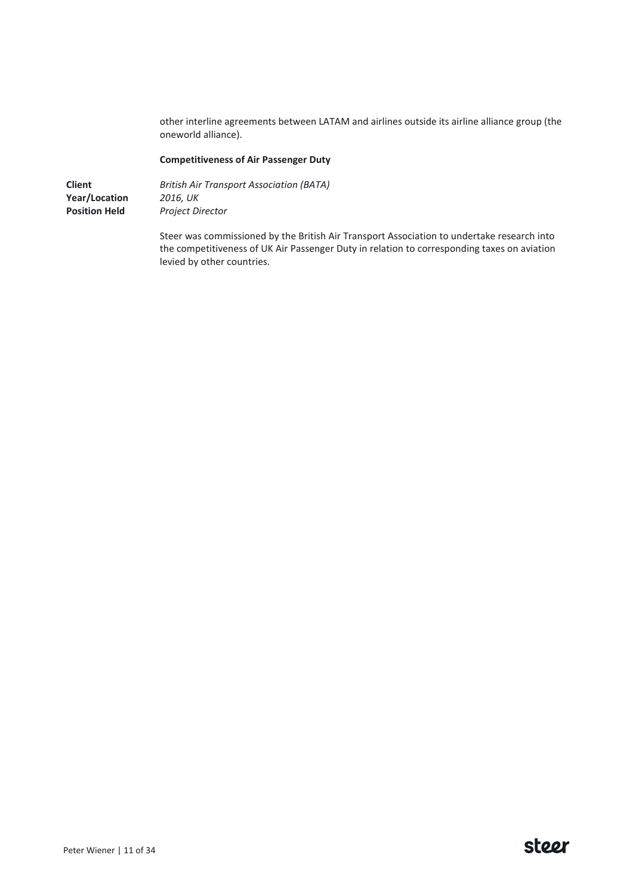other interline agreements between LATAM and airlines outside its airline alliance group (the oneworld alliance).

### **Competitiveness of Air Passenger Duty**

**Client Year/Location Position Held** *British Air Transport Association (BATA) 2016, UK Project Director*

> Steer was commissioned by the British Air Transport Association to undertake research into the competitiveness of UK Air Passenger Duty in relation to corresponding taxes on aviation levied by other countries.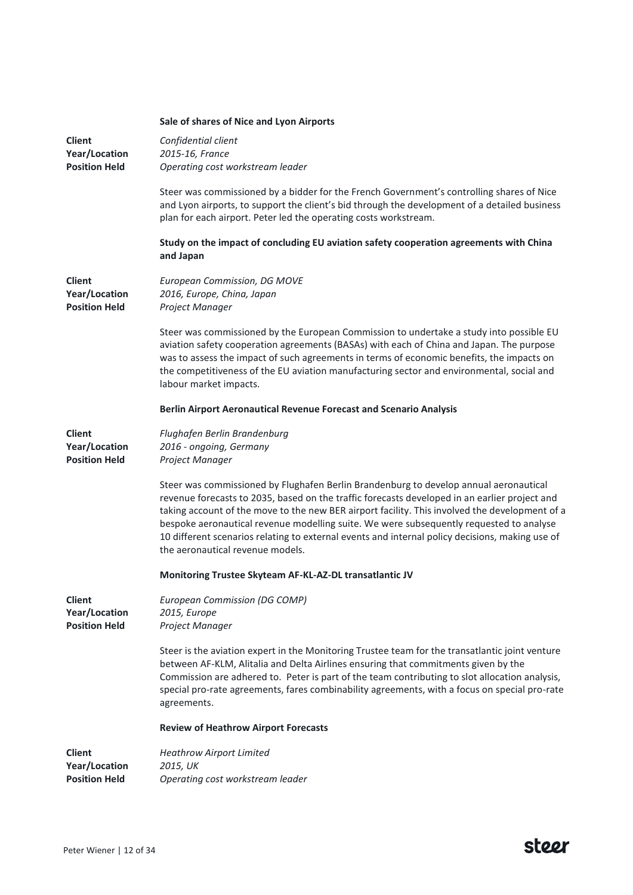|                                                               | Sale of shares of Nice and Lyon Airports                                                                                                                                                                                                                                                                                                                                                                                                                                                                                   |
|---------------------------------------------------------------|----------------------------------------------------------------------------------------------------------------------------------------------------------------------------------------------------------------------------------------------------------------------------------------------------------------------------------------------------------------------------------------------------------------------------------------------------------------------------------------------------------------------------|
| <b>Client</b><br>Year/Location<br><b>Position Held</b>        | Confidential client<br>2015-16, France<br>Operating cost workstream leader                                                                                                                                                                                                                                                                                                                                                                                                                                                 |
|                                                               | Steer was commissioned by a bidder for the French Government's controlling shares of Nice<br>and Lyon airports, to support the client's bid through the development of a detailed business<br>plan for each airport. Peter led the operating costs workstream.                                                                                                                                                                                                                                                             |
|                                                               | Study on the impact of concluding EU aviation safety cooperation agreements with China<br>and Japan                                                                                                                                                                                                                                                                                                                                                                                                                        |
| <b>Client</b><br>Year/Location<br><b>Position Held</b>        | European Commission, DG MOVE<br>2016, Europe, China, Japan<br>Project Manager                                                                                                                                                                                                                                                                                                                                                                                                                                              |
|                                                               | Steer was commissioned by the European Commission to undertake a study into possible EU<br>aviation safety cooperation agreements (BASAs) with each of China and Japan. The purpose<br>was to assess the impact of such agreements in terms of economic benefits, the impacts on<br>the competitiveness of the EU aviation manufacturing sector and environmental, social and<br>labour market impacts.                                                                                                                    |
|                                                               | Berlin Airport Aeronautical Revenue Forecast and Scenario Analysis                                                                                                                                                                                                                                                                                                                                                                                                                                                         |
| <b>Client</b><br><b>Year/Location</b><br><b>Position Held</b> | Flughafen Berlin Brandenburg<br>2016 - ongoing, Germany<br>Project Manager                                                                                                                                                                                                                                                                                                                                                                                                                                                 |
|                                                               | Steer was commissioned by Flughafen Berlin Brandenburg to develop annual aeronautical<br>revenue forecasts to 2035, based on the traffic forecasts developed in an earlier project and<br>taking account of the move to the new BER airport facility. This involved the development of a<br>bespoke aeronautical revenue modelling suite. We were subsequently requested to analyse<br>10 different scenarios relating to external events and internal policy decisions, making use of<br>the aeronautical revenue models. |
|                                                               | Monitoring Trustee Skyteam AF-KL-AZ-DL transatlantic JV                                                                                                                                                                                                                                                                                                                                                                                                                                                                    |
| <b>Client</b><br><b>Year/Location</b><br><b>Position Held</b> | European Commission (DG COMP)<br>2015, Europe<br>Project Manager                                                                                                                                                                                                                                                                                                                                                                                                                                                           |
|                                                               | Steer is the aviation expert in the Monitoring Trustee team for the transatlantic joint venture<br>between AF-KLM, Alitalia and Delta Airlines ensuring that commitments given by the<br>Commission are adhered to. Peter is part of the team contributing to slot allocation analysis,<br>special pro-rate agreements, fares combinability agreements, with a focus on special pro-rate<br>agreements.                                                                                                                    |
|                                                               | <b>Review of Heathrow Airport Forecasts</b>                                                                                                                                                                                                                                                                                                                                                                                                                                                                                |
| <b>Client</b><br>Year/Location<br><b>Position Held</b>        | <b>Heathrow Airport Limited</b><br>2015, UK<br>Operating cost workstream leader                                                                                                                                                                                                                                                                                                                                                                                                                                            |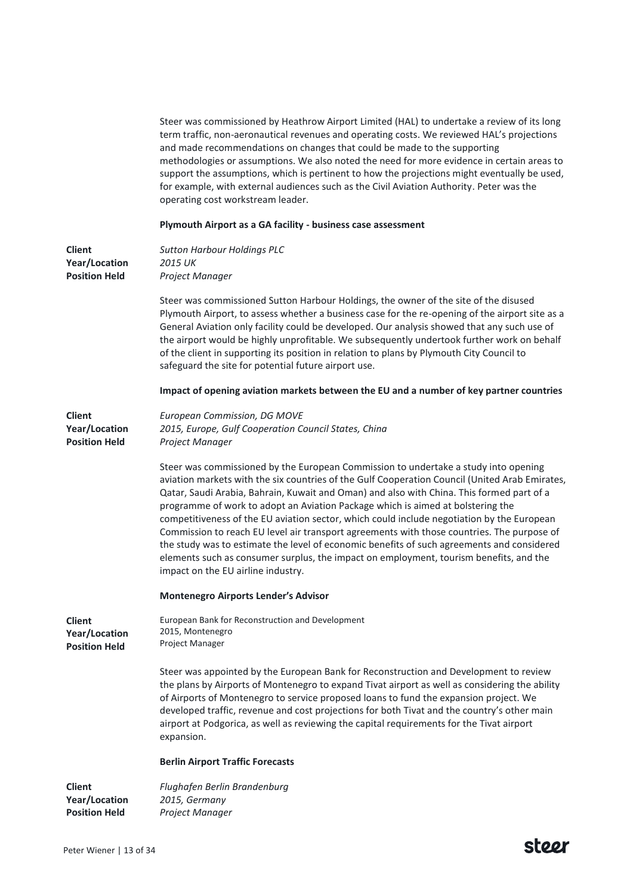Steer was commissioned by Heathrow Airport Limited (HAL) to undertake a review of its long term traffic, non-aeronautical revenues and operating costs. We reviewed HAL's projections and made recommendations on changes that could be made to the supporting methodologies or assumptions. We also noted the need for more evidence in certain areas to support the assumptions, which is pertinent to how the projections might eventually be used, for example, with external audiences such as the Civil Aviation Authority. Peter was the operating cost workstream leader.

### **Plymouth Airport as a GA facility - business case assessment**

| Client<br>Year/Location<br><b>Position Held</b>        | <b>Sutton Harbour Holdings PLC</b><br>2015 UK<br>Project Manager                                                                                                                                                                                                                                                                                                                                                                                                                                                                                                                                                                                                                                                                                                                                |
|--------------------------------------------------------|-------------------------------------------------------------------------------------------------------------------------------------------------------------------------------------------------------------------------------------------------------------------------------------------------------------------------------------------------------------------------------------------------------------------------------------------------------------------------------------------------------------------------------------------------------------------------------------------------------------------------------------------------------------------------------------------------------------------------------------------------------------------------------------------------|
|                                                        | Steer was commissioned Sutton Harbour Holdings, the owner of the site of the disused<br>Plymouth Airport, to assess whether a business case for the re-opening of the airport site as a<br>General Aviation only facility could be developed. Our analysis showed that any such use of<br>the airport would be highly unprofitable. We subsequently undertook further work on behalf<br>of the client in supporting its position in relation to plans by Plymouth City Council to<br>safeguard the site for potential future airport use.                                                                                                                                                                                                                                                       |
|                                                        | Impact of opening aviation markets between the EU and a number of key partner countries                                                                                                                                                                                                                                                                                                                                                                                                                                                                                                                                                                                                                                                                                                         |
| <b>Client</b><br>Year/Location<br><b>Position Held</b> | European Commission, DG MOVE<br>2015, Europe, Gulf Cooperation Council States, China<br>Project Manager                                                                                                                                                                                                                                                                                                                                                                                                                                                                                                                                                                                                                                                                                         |
|                                                        | Steer was commissioned by the European Commission to undertake a study into opening<br>aviation markets with the six countries of the Gulf Cooperation Council (United Arab Emirates,<br>Qatar, Saudi Arabia, Bahrain, Kuwait and Oman) and also with China. This formed part of a<br>programme of work to adopt an Aviation Package which is aimed at bolstering the<br>competitiveness of the EU aviation sector, which could include negotiation by the European<br>Commission to reach EU level air transport agreements with those countries. The purpose of<br>the study was to estimate the level of economic benefits of such agreements and considered<br>elements such as consumer surplus, the impact on employment, tourism benefits, and the<br>impact on the EU airline industry. |
|                                                        | <b>Montenegro Airports Lender's Advisor</b>                                                                                                                                                                                                                                                                                                                                                                                                                                                                                                                                                                                                                                                                                                                                                     |
| <b>Client</b><br>Year/Location<br><b>Position Held</b> | European Bank for Reconstruction and Development<br>2015, Montenegro<br>Project Manager                                                                                                                                                                                                                                                                                                                                                                                                                                                                                                                                                                                                                                                                                                         |
|                                                        | Steer was appointed by the European Bank for Reconstruction and Development to review<br>the plans by Airports of Montenegro to expand Tivat airport as well as considering the ability<br>of Airports of Montenegro to service proposed loans to fund the expansion project. We<br>developed traffic, revenue and cost projections for both Tivat and the country's other main<br>airport at Podgorica, as well as reviewing the capital requirements for the Tivat airport<br>expansion.                                                                                                                                                                                                                                                                                                      |
|                                                        | <b>Berlin Airport Traffic Forecasts</b>                                                                                                                                                                                                                                                                                                                                                                                                                                                                                                                                                                                                                                                                                                                                                         |
| <b>Client</b><br>Year/Location                         | Flughafen Berlin Brandenburg<br>2015, Germany                                                                                                                                                                                                                                                                                                                                                                                                                                                                                                                                                                                                                                                                                                                                                   |

*Project Manager*

**Position Held**

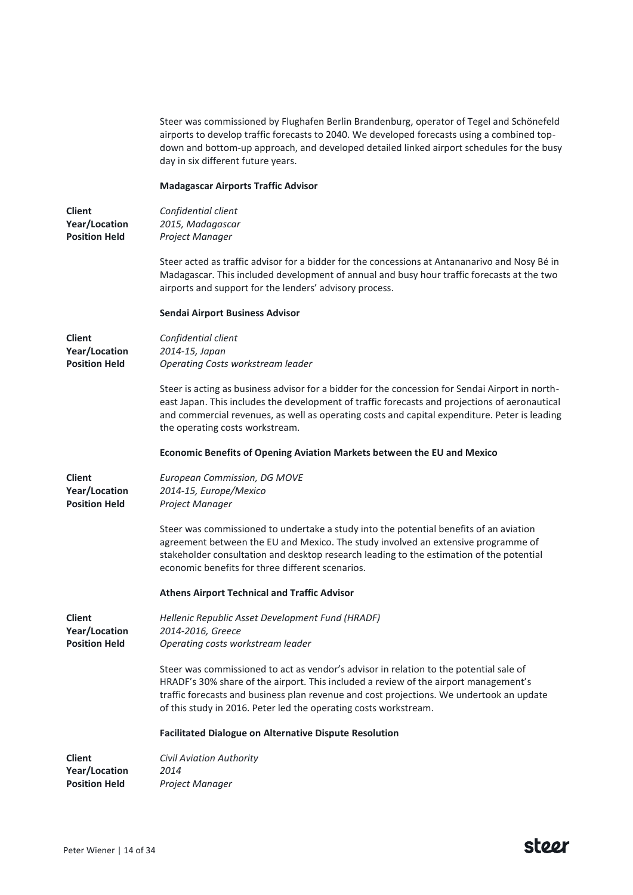Steer was commissioned by Flughafen Berlin Brandenburg, operator of Tegel and Schönefeld airports to develop traffic forecasts to 2040. We developed forecasts using a combined topdown and bottom-up approach, and developed detailed linked airport schedules for the busy day in six different future years.

### **Madagascar Airports Traffic Advisor**

| Client               | Confidential client |
|----------------------|---------------------|
| Year/Location        | 2015, Madagascar    |
| <b>Position Held</b> | Project Manager     |

Steer acted as traffic advisor for a bidder for the concessions at Antananarivo and Nosy Bé in Madagascar. This included development of annual and busy hour traffic forecasts at the two airports and support for the lenders' advisory process.

#### **Sendai Airport Business Advisor**

| <b>Client</b><br>Year/Location<br><b>Position Held</b> | Confidential client<br>2014-15, Japan<br>Operating Costs workstream leader                                                                                                                                                                                                                                                                     |
|--------------------------------------------------------|------------------------------------------------------------------------------------------------------------------------------------------------------------------------------------------------------------------------------------------------------------------------------------------------------------------------------------------------|
|                                                        | Steer is acting as business advisor for a bidder for the concession for Sendai Airport in north-<br>east Japan. This includes the development of traffic forecasts and projections of aeronautical<br>and commercial revenues, as well as operating costs and capital expenditure. Peter is leading<br>the operating costs workstream.         |
|                                                        | Economic Benefits of Opening Aviation Markets between the EU and Mexico                                                                                                                                                                                                                                                                        |
| <b>Client</b><br>Year/Location<br><b>Position Held</b> | European Commission, DG MOVE<br>2014-15, Europe/Mexico<br>Project Manager                                                                                                                                                                                                                                                                      |
|                                                        | Steer was commissioned to undertake a study into the potential benefits of an aviation<br>agreement between the EU and Mexico. The study involved an extensive programme of<br>stakeholder consultation and desktop research leading to the estimation of the potential<br>economic benefits for three different scenarios.                    |
|                                                        | <b>Athens Airport Technical and Traffic Advisor</b>                                                                                                                                                                                                                                                                                            |
| <b>Client</b><br>Year/Location<br><b>Position Held</b> | Hellenic Republic Asset Development Fund (HRADF)<br>2014-2016, Greece<br>Operating costs workstream leader                                                                                                                                                                                                                                     |
|                                                        | Steer was commissioned to act as vendor's advisor in relation to the potential sale of<br>HRADF's 30% share of the airport. This included a review of the airport management's<br>traffic forecasts and business plan revenue and cost projections. We undertook an update<br>of this study in 2016. Peter led the operating costs workstream. |
|                                                        | <b>Facilitated Dialogue on Alternative Dispute Resolution</b>                                                                                                                                                                                                                                                                                  |
| <b>Client</b>                                          | <b>Civil Aviation Authority</b>                                                                                                                                                                                                                                                                                                                |

**Position Held** *Project Manager*

*2014*

**Year/Location**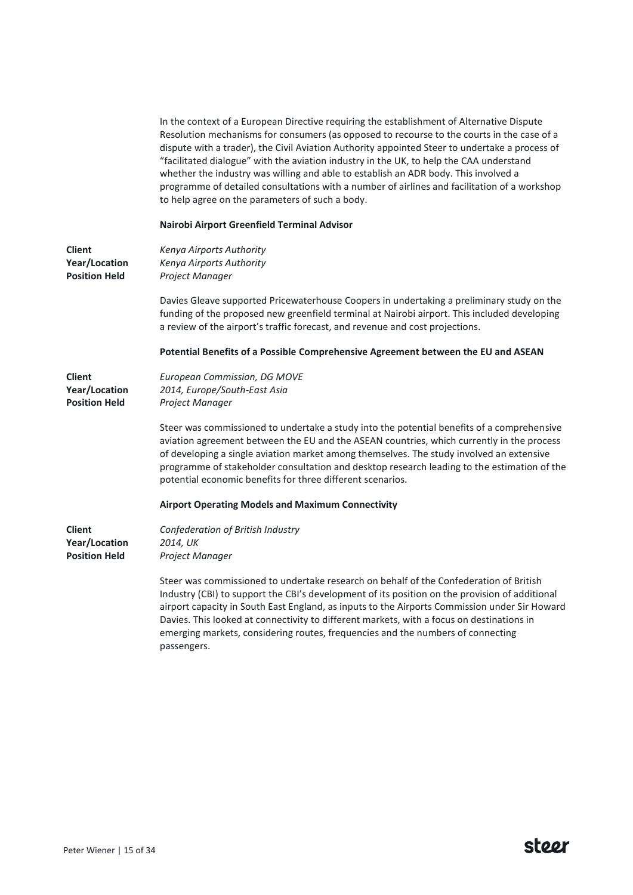In the context of a European Directive requiring the establishment of Alternative Dispute Resolution mechanisms for consumers (as opposed to recourse to the courts in the case of a dispute with a trader), the Civil Aviation Authority appointed Steer to undertake a process of "facilitated dialogue" with the aviation industry in the UK, to help the CAA understand whether the industry was willing and able to establish an ADR body. This involved a programme of detailed consultations with a number of airlines and facilitation of a workshop to help agree on the parameters of such a body.

### **Nairobi Airport Greenfield Terminal Advisor**

| <b>Client</b><br><b>Year/Location</b><br><b>Position Held</b> | Kenya Airports Authority<br>Kenya Airports Authority<br>Project Manager                                                                                                                                                                                                                                                                                                                                                                                                                  |
|---------------------------------------------------------------|------------------------------------------------------------------------------------------------------------------------------------------------------------------------------------------------------------------------------------------------------------------------------------------------------------------------------------------------------------------------------------------------------------------------------------------------------------------------------------------|
|                                                               | Davies Gleave supported Pricewaterhouse Coopers in undertaking a preliminary study on the<br>funding of the proposed new greenfield terminal at Nairobi airport. This included developing<br>a review of the airport's traffic forecast, and revenue and cost projections.                                                                                                                                                                                                               |
|                                                               | Potential Benefits of a Possible Comprehensive Agreement between the EU and ASEAN                                                                                                                                                                                                                                                                                                                                                                                                        |
| <b>Client</b><br><b>Year/Location</b><br><b>Position Held</b> | European Commission, DG MOVE<br>2014, Europe/South-East Asia<br>Project Manager                                                                                                                                                                                                                                                                                                                                                                                                          |
|                                                               | Steer was commissioned to undertake a study into the potential benefits of a comprehensive<br>aviation agreement between the EU and the ASEAN countries, which currently in the process<br>of developing a single aviation market among themselves. The study involved an extensive<br>programme of stakeholder consultation and desktop research leading to the estimation of the<br>potential economic benefits for three different scenarios.                                         |
|                                                               | <b>Airport Operating Models and Maximum Connectivity</b>                                                                                                                                                                                                                                                                                                                                                                                                                                 |
| <b>Client</b><br><b>Year/Location</b><br><b>Position Held</b> | Confederation of British Industry<br>2014, UK<br>Project Manager                                                                                                                                                                                                                                                                                                                                                                                                                         |
|                                                               | Steer was commissioned to undertake research on behalf of the Confederation of British<br>Industry (CBI) to support the CBI's development of its position on the provision of additional<br>airport capacity in South East England, as inputs to the Airports Commission under Sir Howard<br>Davies. This looked at connectivity to different markets, with a focus on destinations in<br>emerging markets, considering routes, frequencies and the numbers of connecting<br>passengers. |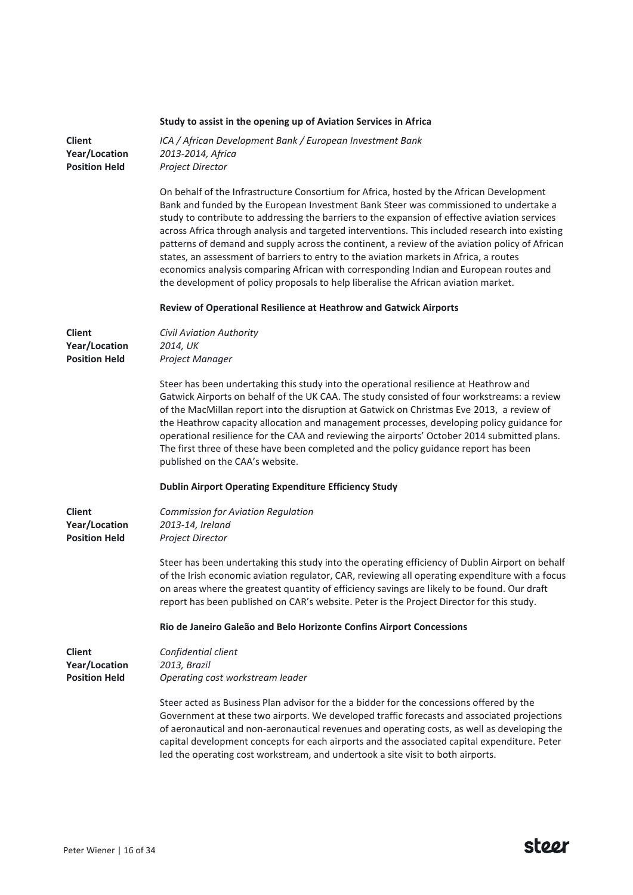# **Study to assist in the opening up of Aviation Services in Africa**

| <b>Client</b><br>Year/Location<br><b>Position Held</b> | ICA / African Development Bank / European Investment Bank<br>2013-2014, Africa<br>Project Director                                                                                                                                                                                                                                                                                                                                                                                                                                                                                                                                                                                                                                                                  |
|--------------------------------------------------------|---------------------------------------------------------------------------------------------------------------------------------------------------------------------------------------------------------------------------------------------------------------------------------------------------------------------------------------------------------------------------------------------------------------------------------------------------------------------------------------------------------------------------------------------------------------------------------------------------------------------------------------------------------------------------------------------------------------------------------------------------------------------|
|                                                        | On behalf of the Infrastructure Consortium for Africa, hosted by the African Development<br>Bank and funded by the European Investment Bank Steer was commissioned to undertake a<br>study to contribute to addressing the barriers to the expansion of effective aviation services<br>across Africa through analysis and targeted interventions. This included research into existing<br>patterns of demand and supply across the continent, a review of the aviation policy of African<br>states, an assessment of barriers to entry to the aviation markets in Africa, a routes<br>economics analysis comparing African with corresponding Indian and European routes and<br>the development of policy proposals to help liberalise the African aviation market. |
|                                                        | Review of Operational Resilience at Heathrow and Gatwick Airports                                                                                                                                                                                                                                                                                                                                                                                                                                                                                                                                                                                                                                                                                                   |
| <b>Client</b><br>Year/Location<br><b>Position Held</b> | Civil Aviation Authority<br>2014, UK<br>Project Manager                                                                                                                                                                                                                                                                                                                                                                                                                                                                                                                                                                                                                                                                                                             |
|                                                        | Steer has been undertaking this study into the operational resilience at Heathrow and<br>Gatwick Airports on behalf of the UK CAA. The study consisted of four workstreams: a review<br>of the MacMillan report into the disruption at Gatwick on Christmas Eve 2013, a review of<br>the Heathrow capacity allocation and management processes, developing policy guidance for<br>operational resilience for the CAA and reviewing the airports' October 2014 submitted plans.<br>The first three of these have been completed and the policy guidance report has been<br>published on the CAA's website.                                                                                                                                                           |
|                                                        | <b>Dublin Airport Operating Expenditure Efficiency Study</b>                                                                                                                                                                                                                                                                                                                                                                                                                                                                                                                                                                                                                                                                                                        |
| <b>Client</b><br>Year/Location<br><b>Position Held</b> | Commission for Aviation Regulation<br>2013-14, Ireland<br>Project Director                                                                                                                                                                                                                                                                                                                                                                                                                                                                                                                                                                                                                                                                                          |
|                                                        | Steer has been undertaking this study into the operating efficiency of Dublin Airport on behalf<br>of the Irish economic aviation regulator, CAR, reviewing all operating expenditure with a focus<br>on areas where the greatest quantity of efficiency savings are likely to be found. Our draft<br>report has been published on CAR's website. Peter is the Project Director for this study.                                                                                                                                                                                                                                                                                                                                                                     |
|                                                        | Rio de Janeiro Galeão and Belo Horizonte Confins Airport Concessions                                                                                                                                                                                                                                                                                                                                                                                                                                                                                                                                                                                                                                                                                                |
| <b>Client</b><br>Year/Location<br><b>Position Held</b> | Confidential client<br>2013, Brazil<br>Operating cost workstream leader                                                                                                                                                                                                                                                                                                                                                                                                                                                                                                                                                                                                                                                                                             |
|                                                        | Steer acted as Business Plan advisor for the a bidder for the concessions offered by the<br>Government at these two airports. We developed traffic forecasts and associated projections<br>of aeronautical and non-aeronautical revenues and operating costs, as well as developing the<br>capital development concepts for each airports and the associated capital expenditure. Peter<br>led the operating cost workstream, and undertook a site visit to both airports.                                                                                                                                                                                                                                                                                          |

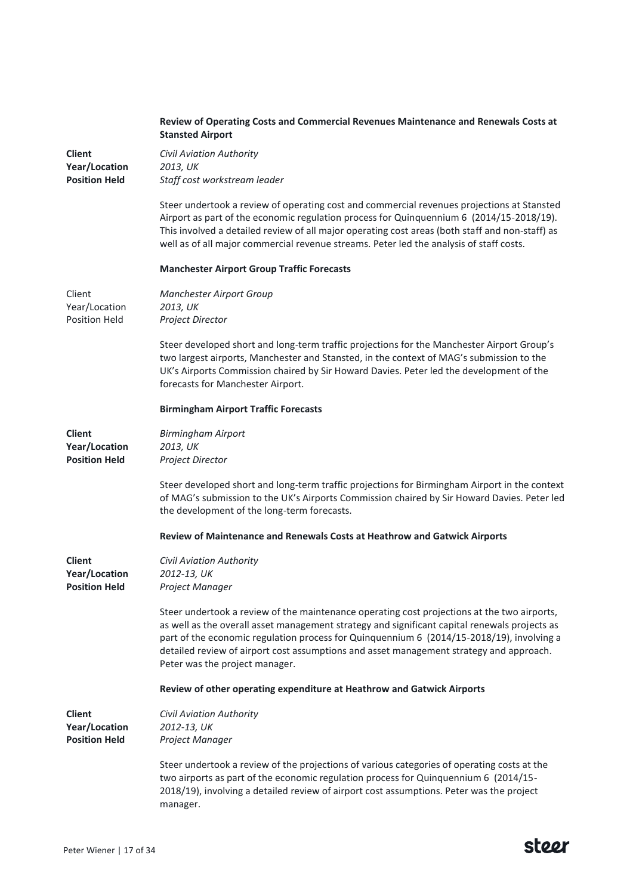|                                              | Review of Operating Costs and Commercial Revenues Maintenance and Renewals Costs at<br><b>Stansted Airport</b>                                                                                                                                                                                                                                                                                                         |
|----------------------------------------------|------------------------------------------------------------------------------------------------------------------------------------------------------------------------------------------------------------------------------------------------------------------------------------------------------------------------------------------------------------------------------------------------------------------------|
| <b>Client</b><br><b>Year/Location</b>        | Civil Aviation Authority<br>2013, UK                                                                                                                                                                                                                                                                                                                                                                                   |
| <b>Position Held</b>                         | Staff cost workstream leader                                                                                                                                                                                                                                                                                                                                                                                           |
|                                              | Steer undertook a review of operating cost and commercial revenues projections at Stansted<br>Airport as part of the economic regulation process for Quinquennium 6 (2014/15-2018/19).<br>This involved a detailed review of all major operating cost areas (both staff and non-staff) as<br>well as of all major commercial revenue streams. Peter led the analysis of staff costs.                                   |
|                                              | <b>Manchester Airport Group Traffic Forecasts</b>                                                                                                                                                                                                                                                                                                                                                                      |
| Client                                       | Manchester Airport Group                                                                                                                                                                                                                                                                                                                                                                                               |
| Year/Location<br><b>Position Held</b>        | 2013, UK<br>Project Director                                                                                                                                                                                                                                                                                                                                                                                           |
|                                              | Steer developed short and long-term traffic projections for the Manchester Airport Group's<br>two largest airports, Manchester and Stansted, in the context of MAG's submission to the<br>UK's Airports Commission chaired by Sir Howard Davies. Peter led the development of the<br>forecasts for Manchester Airport.                                                                                                 |
|                                              | <b>Birmingham Airport Traffic Forecasts</b>                                                                                                                                                                                                                                                                                                                                                                            |
| <b>Client</b>                                | <b>Birmingham Airport</b>                                                                                                                                                                                                                                                                                                                                                                                              |
| Year/Location<br><b>Position Held</b>        | 2013, UK<br>Project Director                                                                                                                                                                                                                                                                                                                                                                                           |
|                                              | Steer developed short and long-term traffic projections for Birmingham Airport in the context<br>of MAG's submission to the UK's Airports Commission chaired by Sir Howard Davies. Peter led<br>the development of the long-term forecasts.                                                                                                                                                                            |
|                                              | Review of Maintenance and Renewals Costs at Heathrow and Gatwick Airports                                                                                                                                                                                                                                                                                                                                              |
| <b>Client</b>                                | <b>Civil Aviation Authority</b>                                                                                                                                                                                                                                                                                                                                                                                        |
| Year/Location<br><b>Position Held</b>        | 2012-13, UK<br>Project Manager                                                                                                                                                                                                                                                                                                                                                                                         |
|                                              | Steer undertook a review of the maintenance operating cost projections at the two airports,<br>as well as the overall asset management strategy and significant capital renewals projects as<br>part of the economic regulation process for Quinquennium 6 (2014/15-2018/19), involving a<br>detailed review of airport cost assumptions and asset management strategy and approach.<br>Peter was the project manager. |
|                                              | Review of other operating expenditure at Heathrow and Gatwick Airports                                                                                                                                                                                                                                                                                                                                                 |
| <b>Client</b>                                | <b>Civil Aviation Authority</b>                                                                                                                                                                                                                                                                                                                                                                                        |
| <b>Year/Location</b><br><b>Position Held</b> | 2012-13, UK<br>Project Manager                                                                                                                                                                                                                                                                                                                                                                                         |
|                                              | Steer undertook a review of the projections of various categories of operating costs at the<br>two airports as part of the economic regulation process for Quinquennium 6 (2014/15-<br>2018/19), involving a detailed review of airport cost assumptions. Peter was the project<br>manager.                                                                                                                            |

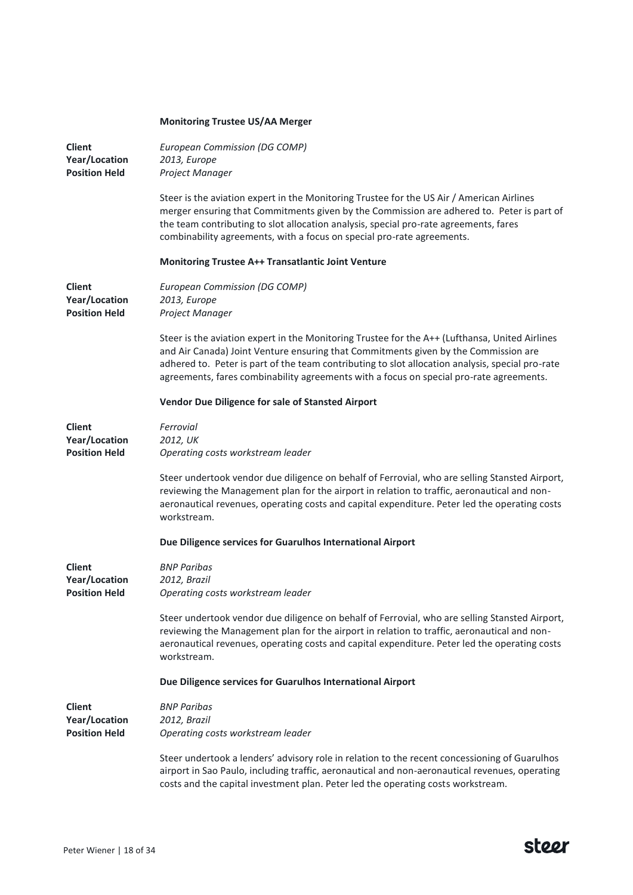| <b>Monitoring Trustee US/AA Merger</b> |  |  |
|----------------------------------------|--|--|
|                                        |  |  |

| <b>Client</b><br>Year/Location<br><b>Position Held</b> | European Commission (DG COMP)<br>2013, Europe<br>Project Manager                                                                                                                                                                                                                                                                                                                     |
|--------------------------------------------------------|--------------------------------------------------------------------------------------------------------------------------------------------------------------------------------------------------------------------------------------------------------------------------------------------------------------------------------------------------------------------------------------|
|                                                        | Steer is the aviation expert in the Monitoring Trustee for the US Air / American Airlines<br>merger ensuring that Commitments given by the Commission are adhered to. Peter is part of<br>the team contributing to slot allocation analysis, special pro-rate agreements, fares<br>combinability agreements, with a focus on special pro-rate agreements.                            |
|                                                        | <b>Monitoring Trustee A++ Transatlantic Joint Venture</b>                                                                                                                                                                                                                                                                                                                            |
| <b>Client</b><br>Year/Location<br><b>Position Held</b> | European Commission (DG COMP)<br>2013, Europe<br>Project Manager                                                                                                                                                                                                                                                                                                                     |
|                                                        | Steer is the aviation expert in the Monitoring Trustee for the A++ (Lufthansa, United Airlines<br>and Air Canada) Joint Venture ensuring that Commitments given by the Commission are<br>adhered to. Peter is part of the team contributing to slot allocation analysis, special pro-rate<br>agreements, fares combinability agreements with a focus on special pro-rate agreements. |
|                                                        | Vendor Due Diligence for sale of Stansted Airport                                                                                                                                                                                                                                                                                                                                    |
| <b>Client</b><br>Year/Location<br><b>Position Held</b> | Ferrovial<br>2012, UK<br>Operating costs workstream leader                                                                                                                                                                                                                                                                                                                           |
|                                                        | Steer undertook vendor due diligence on behalf of Ferrovial, who are selling Stansted Airport,<br>reviewing the Management plan for the airport in relation to traffic, aeronautical and non-<br>aeronautical revenues, operating costs and capital expenditure. Peter led the operating costs<br>workstream.                                                                        |
|                                                        | Due Diligence services for Guarulhos International Airport                                                                                                                                                                                                                                                                                                                           |
| <b>Client</b><br>Year/Location<br><b>Position Held</b> | <b>BNP Paribas</b><br>2012, Brazil<br>Operating costs workstream leader                                                                                                                                                                                                                                                                                                              |
|                                                        | Steer undertook vendor due diligence on behalf of Ferrovial, who are selling Stansted Airport,<br>reviewing the Management plan for the airport in relation to traffic, aeronautical and non-<br>aeronautical revenues, operating costs and capital expenditure. Peter led the operating costs<br>workstream.                                                                        |
|                                                        | Due Diligence services for Guarulhos International Airport                                                                                                                                                                                                                                                                                                                           |
| <b>Client</b><br>Year/Location<br><b>Position Held</b> | <b>BNP Paribas</b><br>2012, Brazil<br>Operating costs workstream leader                                                                                                                                                                                                                                                                                                              |
|                                                        | Steer undertook a lenders' advisory role in relation to the recent concessioning of Guarulhos<br>airport in Sao Paulo, including traffic, aeronautical and non-aeronautical revenues, operating<br>costs and the capital investment plan. Peter led the operating costs workstream.                                                                                                  |

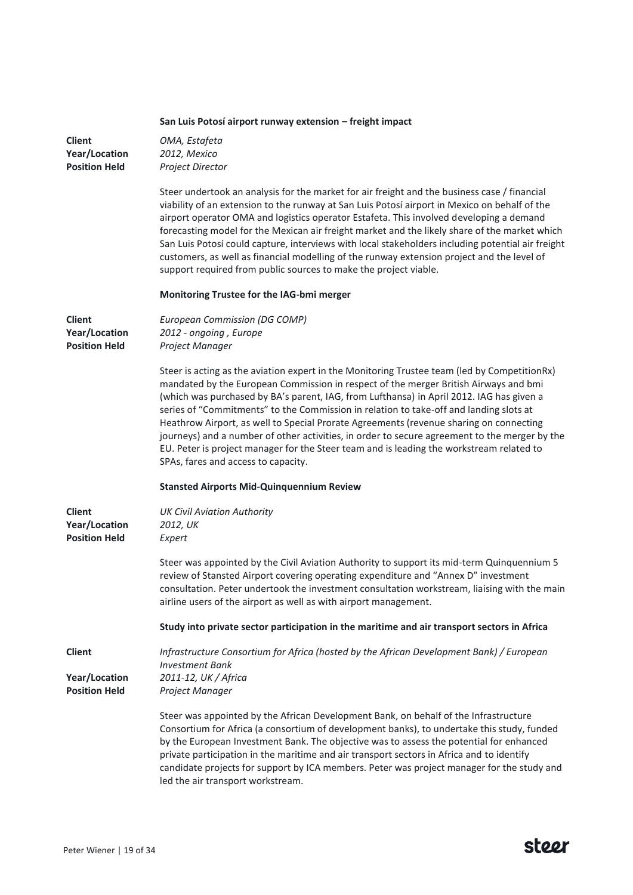|                                                               | San Luis Potosí airport runway extension - freight impact                                                                                                                                                                                                                                                                                                                                                                                                                                                                                                                                                                                                                                                |
|---------------------------------------------------------------|----------------------------------------------------------------------------------------------------------------------------------------------------------------------------------------------------------------------------------------------------------------------------------------------------------------------------------------------------------------------------------------------------------------------------------------------------------------------------------------------------------------------------------------------------------------------------------------------------------------------------------------------------------------------------------------------------------|
| <b>Client</b><br>Year/Location<br><b>Position Held</b>        | OMA, Estafeta<br>2012, Mexico<br>Project Director                                                                                                                                                                                                                                                                                                                                                                                                                                                                                                                                                                                                                                                        |
|                                                               | Steer undertook an analysis for the market for air freight and the business case / financial<br>viability of an extension to the runway at San Luis Potosí airport in Mexico on behalf of the<br>airport operator OMA and logistics operator Estafeta. This involved developing a demand<br>forecasting model for the Mexican air freight market and the likely share of the market which<br>San Luis Potosí could capture, interviews with local stakeholders including potential air freight<br>customers, as well as financial modelling of the runway extension project and the level of<br>support required from public sources to make the project viable.                                         |
|                                                               | Monitoring Trustee for the IAG-bmi merger                                                                                                                                                                                                                                                                                                                                                                                                                                                                                                                                                                                                                                                                |
| <b>Client</b><br><b>Year/Location</b><br><b>Position Held</b> | European Commission (DG COMP)<br>2012 - ongoing, Europe<br>Project Manager                                                                                                                                                                                                                                                                                                                                                                                                                                                                                                                                                                                                                               |
|                                                               | Steer is acting as the aviation expert in the Monitoring Trustee team (led by CompetitionRx)<br>mandated by the European Commission in respect of the merger British Airways and bmi<br>(which was purchased by BA's parent, IAG, from Lufthansa) in April 2012. IAG has given a<br>series of "Commitments" to the Commission in relation to take-off and landing slots at<br>Heathrow Airport, as well to Special Prorate Agreements (revenue sharing on connecting<br>journeys) and a number of other activities, in order to secure agreement to the merger by the<br>EU. Peter is project manager for the Steer team and is leading the workstream related to<br>SPAs, fares and access to capacity. |
|                                                               | <b>Stansted Airports Mid-Quinquennium Review</b>                                                                                                                                                                                                                                                                                                                                                                                                                                                                                                                                                                                                                                                         |
| <b>Client</b><br>Year/Location<br><b>Position Held</b>        | <b>UK Civil Aviation Authority</b><br>2012, UK<br>Expert                                                                                                                                                                                                                                                                                                                                                                                                                                                                                                                                                                                                                                                 |
|                                                               | Steer was appointed by the Civil Aviation Authority to support its mid-term Quinquennium 5<br>review of Stansted Airport covering operating expenditure and "Annex D" investment<br>consultation. Peter undertook the investment consultation workstream, liaising with the main<br>airline users of the airport as well as with airport management.                                                                                                                                                                                                                                                                                                                                                     |
|                                                               | Study into private sector participation in the maritime and air transport sectors in Africa                                                                                                                                                                                                                                                                                                                                                                                                                                                                                                                                                                                                              |
| <b>Client</b><br><b>Year/Location</b><br><b>Position Held</b> | Infrastructure Consortium for Africa (hosted by the African Development Bank) / European<br><b>Investment Bank</b><br>2011-12, UK / Africa<br>Project Manager                                                                                                                                                                                                                                                                                                                                                                                                                                                                                                                                            |
|                                                               | Steer was appointed by the African Development Bank, on behalf of the Infrastructure<br>Consortium for Africa (a consortium of development banks), to undertake this study, funded<br>by the European Investment Bank. The objective was to assess the potential for enhanced<br>private participation in the maritime and air transport sectors in Africa and to identify<br>candidate projects for support by ICA members. Peter was project manager for the study and<br>led the air transport workstream.                                                                                                                                                                                            |

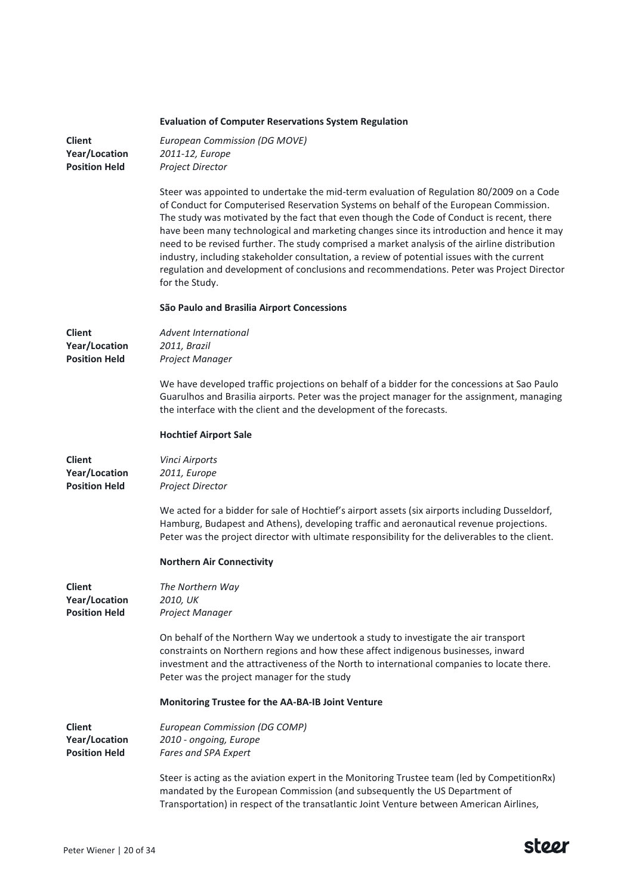# **Evaluation of Computer Reservations System Regulation**

| <b>Client</b><br>Year/Location<br><b>Position Held</b>        | <b>European Commission (DG MOVE)</b><br>2011-12, Europe<br>Project Director                                                                                                                                                                                                                                                                                                                                                                                                                                                                                                                                                                                                                 |
|---------------------------------------------------------------|---------------------------------------------------------------------------------------------------------------------------------------------------------------------------------------------------------------------------------------------------------------------------------------------------------------------------------------------------------------------------------------------------------------------------------------------------------------------------------------------------------------------------------------------------------------------------------------------------------------------------------------------------------------------------------------------|
|                                                               | Steer was appointed to undertake the mid-term evaluation of Regulation 80/2009 on a Code<br>of Conduct for Computerised Reservation Systems on behalf of the European Commission.<br>The study was motivated by the fact that even though the Code of Conduct is recent, there<br>have been many technological and marketing changes since its introduction and hence it may<br>need to be revised further. The study comprised a market analysis of the airline distribution<br>industry, including stakeholder consultation, a review of potential issues with the current<br>regulation and development of conclusions and recommendations. Peter was Project Director<br>for the Study. |
|                                                               | São Paulo and Brasilia Airport Concessions                                                                                                                                                                                                                                                                                                                                                                                                                                                                                                                                                                                                                                                  |
| <b>Client</b><br>Year/Location<br><b>Position Held</b>        | Advent International<br>2011, Brazil<br>Project Manager                                                                                                                                                                                                                                                                                                                                                                                                                                                                                                                                                                                                                                     |
|                                                               | We have developed traffic projections on behalf of a bidder for the concessions at Sao Paulo<br>Guarulhos and Brasilia airports. Peter was the project manager for the assignment, managing<br>the interface with the client and the development of the forecasts.                                                                                                                                                                                                                                                                                                                                                                                                                          |
|                                                               | <b>Hochtief Airport Sale</b>                                                                                                                                                                                                                                                                                                                                                                                                                                                                                                                                                                                                                                                                |
| <b>Client</b><br>Year/Location<br><b>Position Held</b>        | <b>Vinci Airports</b><br>2011, Europe<br>Project Director                                                                                                                                                                                                                                                                                                                                                                                                                                                                                                                                                                                                                                   |
|                                                               | We acted for a bidder for sale of Hochtief's airport assets (six airports including Dusseldorf,<br>Hamburg, Budapest and Athens), developing traffic and aeronautical revenue projections.<br>Peter was the project director with ultimate responsibility for the deliverables to the client.                                                                                                                                                                                                                                                                                                                                                                                               |
|                                                               | <b>Northern Air Connectivity</b>                                                                                                                                                                                                                                                                                                                                                                                                                                                                                                                                                                                                                                                            |
| <b>Client</b><br><b>Year/Location</b><br><b>Position Held</b> | The Northern Way<br>2010, UK<br>Project Manager                                                                                                                                                                                                                                                                                                                                                                                                                                                                                                                                                                                                                                             |
|                                                               | On behalf of the Northern Way we undertook a study to investigate the air transport<br>constraints on Northern regions and how these affect indigenous businesses, inward<br>investment and the attractiveness of the North to international companies to locate there.<br>Peter was the project manager for the study                                                                                                                                                                                                                                                                                                                                                                      |
|                                                               | Monitoring Trustee for the AA-BA-IB Joint Venture                                                                                                                                                                                                                                                                                                                                                                                                                                                                                                                                                                                                                                           |
| <b>Client</b><br>Year/Location<br><b>Position Held</b>        | European Commission (DG COMP)<br>2010 - ongoing, Europe<br>Fares and SPA Expert                                                                                                                                                                                                                                                                                                                                                                                                                                                                                                                                                                                                             |
|                                                               | Steer is acting as the aviation expert in the Monitoring Trustee team (led by CompetitionRx)<br>mandated by the European Commission (and subsequently the US Department of<br>Transportation) in respect of the transatlantic Joint Venture between American Airlines,                                                                                                                                                                                                                                                                                                                                                                                                                      |

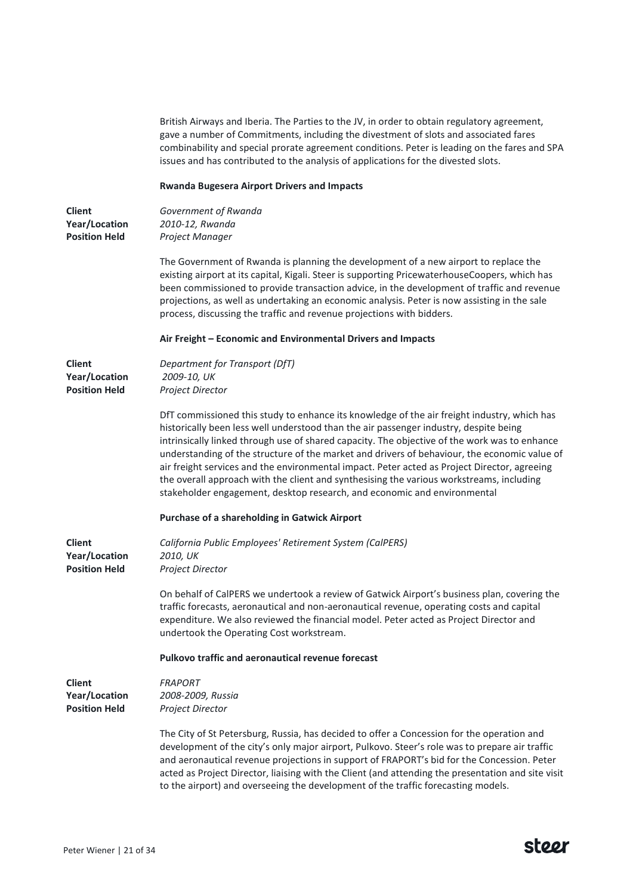British Airways and Iberia. The Parties to the JV, in order to obtain regulatory agreement, gave a number of Commitments, including the divestment of slots and associated fares combinability and special prorate agreement conditions. Peter is leading on the fares and SPA issues and has contributed to the analysis of applications for the divested slots.

#### **Rwanda Bugesera Airport Drivers and Impacts**

| <b>Client</b>        | G |
|----------------------|---|
| <b>Year/Location</b> | 2 |
| <b>Position Held</b> | F |

*Government of Rwanda 2010-12, Rwanda Project Manager*

The Government of Rwanda is planning the development of a new airport to replace the existing airport at its capital, Kigali. Steer is supporting PricewaterhouseCoopers, which has been commissioned to provide transaction advice, in the development of traffic and revenue projections, as well as undertaking an economic analysis. Peter is now assisting in the sale process, discussing the traffic and revenue projections with bidders.

#### **Air Freight – Economic and Environmental Drivers and Impacts**

| Client               | Department for Transport (DfT) |
|----------------------|--------------------------------|
| <b>Year/Location</b> | 2009-10, UK                    |
| <b>Position Held</b> | <b>Project Director</b>        |

DfT commissioned this study to enhance its knowledge of the air freight industry, which has historically been less well understood than the air passenger industry, despite being intrinsically linked through use of shared capacity. The objective of the work was to enhance understanding of the structure of the market and drivers of behaviour, the economic value of air freight services and the environmental impact. Peter acted as Project Director, agreeing the overall approach with the client and synthesising the various workstreams, including stakeholder engagement, desktop research, and economic and environmental

### **Purchase of a shareholding in Gatwick Airport**

| <b>Client</b><br>Year/Location<br><b>Position Held</b> | California Public Employees' Retirement System (CalPERS)<br>2010, UK<br><b>Project Director</b>                                                                                                                                                                                                                                                                                                                                                                                       |
|--------------------------------------------------------|---------------------------------------------------------------------------------------------------------------------------------------------------------------------------------------------------------------------------------------------------------------------------------------------------------------------------------------------------------------------------------------------------------------------------------------------------------------------------------------|
|                                                        | On behalf of CalPERS we undertook a review of Gatwick Airport's business plan, covering the<br>traffic forecasts, aeronautical and non-aeronautical revenue, operating costs and capital<br>expenditure. We also reviewed the financial model. Peter acted as Project Director and<br>undertook the Operating Cost workstream.                                                                                                                                                        |
|                                                        | Pulkovo traffic and aeronautical revenue forecast                                                                                                                                                                                                                                                                                                                                                                                                                                     |
| <b>Client</b>                                          | <b>FRAPORT</b>                                                                                                                                                                                                                                                                                                                                                                                                                                                                        |
| Year/Location                                          | 2008-2009, Russia                                                                                                                                                                                                                                                                                                                                                                                                                                                                     |
| <b>Position Held</b>                                   | Project Director                                                                                                                                                                                                                                                                                                                                                                                                                                                                      |
|                                                        | The City of St Petersburg, Russia, has decided to offer a Concession for the operation and<br>development of the city's only major airport, Pulkovo. Steer's role was to prepare air traffic<br>and aeronautical revenue projections in support of FRAPORT's bid for the Concession. Peter<br>acted as Project Director, liaising with the Client (and attending the presentation and site visit<br>to the airport) and overseeing the development of the traffic forecasting models. |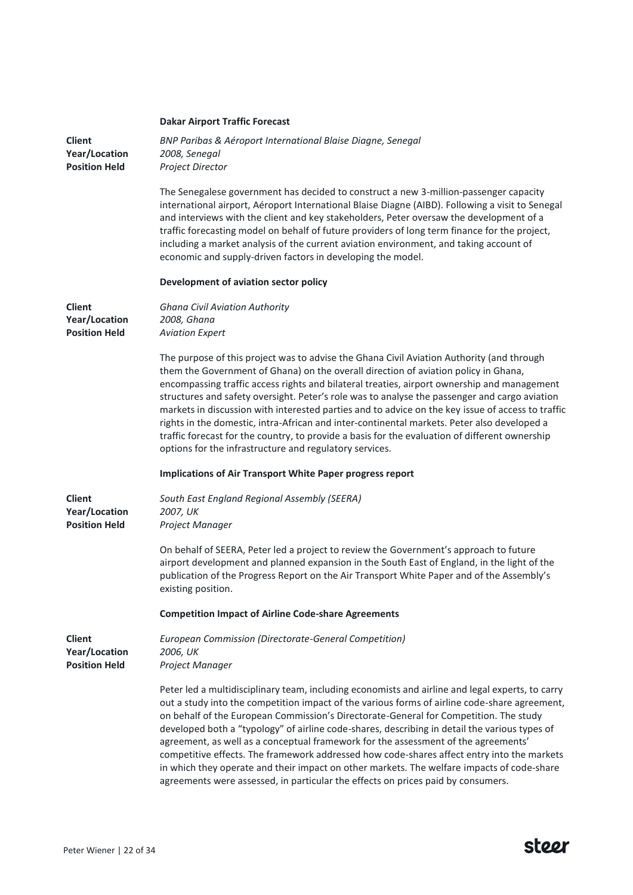|                                                               | <b>Dakar Airport Traffic Forecast</b>                                                                                                                                                                                                                                                                                                                                                                                                                                                                                                                                                                                                                                                                                                             |
|---------------------------------------------------------------|---------------------------------------------------------------------------------------------------------------------------------------------------------------------------------------------------------------------------------------------------------------------------------------------------------------------------------------------------------------------------------------------------------------------------------------------------------------------------------------------------------------------------------------------------------------------------------------------------------------------------------------------------------------------------------------------------------------------------------------------------|
| <b>Client</b><br>Year/Location<br><b>Position Held</b>        | BNP Paribas & Aéroport International Blaise Diagne, Senegal<br>2008, Senegal<br>Project Director                                                                                                                                                                                                                                                                                                                                                                                                                                                                                                                                                                                                                                                  |
|                                                               | The Senegalese government has decided to construct a new 3-million-passenger capacity<br>international airport, Aéroport International Blaise Diagne (AIBD). Following a visit to Senegal<br>and interviews with the client and key stakeholders, Peter oversaw the development of a<br>traffic forecasting model on behalf of future providers of long term finance for the project,<br>including a market analysis of the current aviation environment, and taking account of<br>economic and supply-driven factors in developing the model.                                                                                                                                                                                                    |
|                                                               | Development of aviation sector policy                                                                                                                                                                                                                                                                                                                                                                                                                                                                                                                                                                                                                                                                                                             |
| <b>Client</b><br>Year/Location<br><b>Position Held</b>        | <b>Ghana Civil Aviation Authority</b><br>2008, Ghana<br><b>Aviation Expert</b>                                                                                                                                                                                                                                                                                                                                                                                                                                                                                                                                                                                                                                                                    |
|                                                               | The purpose of this project was to advise the Ghana Civil Aviation Authority (and through<br>them the Government of Ghana) on the overall direction of aviation policy in Ghana,<br>encompassing traffic access rights and bilateral treaties, airport ownership and management<br>structures and safety oversight. Peter's role was to analyse the passenger and cargo aviation<br>markets in discussion with interested parties and to advice on the key issue of access to traffic<br>rights in the domestic, intra-African and inter-continental markets. Peter also developed a<br>traffic forecast for the country, to provide a basis for the evaluation of different ownership<br>options for the infrastructure and regulatory services. |
|                                                               | <b>Implications of Air Transport White Paper progress report</b>                                                                                                                                                                                                                                                                                                                                                                                                                                                                                                                                                                                                                                                                                  |
| <b>Client</b><br>Year/Location<br><b>Position Held</b>        | South East England Regional Assembly (SEERA)<br>2007, UK<br>Project Manager                                                                                                                                                                                                                                                                                                                                                                                                                                                                                                                                                                                                                                                                       |
|                                                               | On behalf of SEERA, Peter led a project to review the Government's approach to future<br>airport development and planned expansion in the South East of England, in the light of the<br>publication of the Progress Report on the Air Transport White Paper and of the Assembly's<br>existing position.                                                                                                                                                                                                                                                                                                                                                                                                                                           |
|                                                               | <b>Competition Impact of Airline Code-share Agreements</b>                                                                                                                                                                                                                                                                                                                                                                                                                                                                                                                                                                                                                                                                                        |
| <b>Client</b><br><b>Year/Location</b><br><b>Position Held</b> | <b>European Commission (Directorate-General Competition)</b><br>2006, UK<br>Project Manager                                                                                                                                                                                                                                                                                                                                                                                                                                                                                                                                                                                                                                                       |
|                                                               | Peter led a multidisciplinary team, including economists and airline and legal experts, to carry<br>out a study into the competition impact of the various forms of airline code-share agreement,<br>on behalf of the European Commission's Directorate-General for Competition. The study<br>developed both a "typology" of airline code-shares, describing in detail the various types of<br>agreement, as well as a conceptual framework for the assessment of the agreements'<br>competitive effects. The framework addressed how code-shares affect entry into the markets<br>in which they operate and their impact on other markets. The welfare impacts of code-share                                                                     |

agreements were assessed, in particular the effects on prices paid by consumers.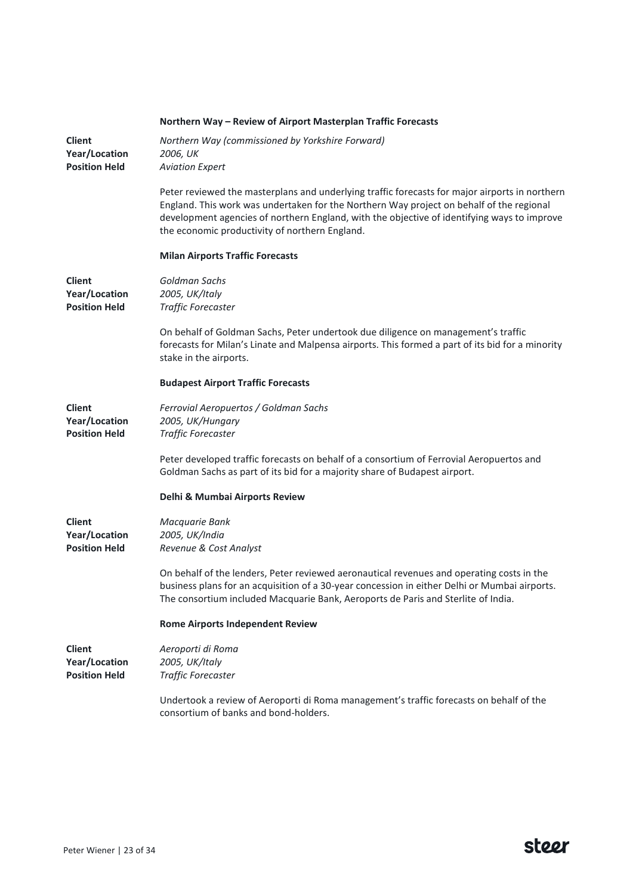|                                                        | Northern Way - Review of Airport Masterplan Traffic Forecasts                                                                                                                                                                                                                                                                               |
|--------------------------------------------------------|---------------------------------------------------------------------------------------------------------------------------------------------------------------------------------------------------------------------------------------------------------------------------------------------------------------------------------------------|
| <b>Client</b><br>Year/Location<br><b>Position Held</b> | Northern Way (commissioned by Yorkshire Forward)<br>2006, UK<br><b>Aviation Expert</b>                                                                                                                                                                                                                                                      |
|                                                        | Peter reviewed the masterplans and underlying traffic forecasts for major airports in northern<br>England. This work was undertaken for the Northern Way project on behalf of the regional<br>development agencies of northern England, with the objective of identifying ways to improve<br>the economic productivity of northern England. |
|                                                        | <b>Milan Airports Traffic Forecasts</b>                                                                                                                                                                                                                                                                                                     |
| <b>Client</b><br>Year/Location<br><b>Position Held</b> | Goldman Sachs<br>2005, UK/Italy<br>Traffic Forecaster                                                                                                                                                                                                                                                                                       |
|                                                        | On behalf of Goldman Sachs, Peter undertook due diligence on management's traffic<br>forecasts for Milan's Linate and Malpensa airports. This formed a part of its bid for a minority<br>stake in the airports.                                                                                                                             |
|                                                        | <b>Budapest Airport Traffic Forecasts</b>                                                                                                                                                                                                                                                                                                   |
| <b>Client</b><br>Year/Location<br><b>Position Held</b> | Ferrovial Aeropuertos / Goldman Sachs<br>2005, UK/Hungary<br>Traffic Forecaster                                                                                                                                                                                                                                                             |
|                                                        | Peter developed traffic forecasts on behalf of a consortium of Ferrovial Aeropuertos and<br>Goldman Sachs as part of its bid for a majority share of Budapest airport.                                                                                                                                                                      |
|                                                        | Delhi & Mumbai Airports Review                                                                                                                                                                                                                                                                                                              |
| <b>Client</b><br>Year/Location<br><b>Position Held</b> | Macquarie Bank<br>2005, UK/India<br>Revenue & Cost Analyst                                                                                                                                                                                                                                                                                  |
|                                                        | On behalf of the lenders, Peter reviewed aeronautical revenues and operating costs in the<br>business plans for an acquisition of a 30-year concession in either Delhi or Mumbai airports.<br>The consortium included Macquarie Bank, Aeroports de Paris and Sterlite of India.                                                             |
|                                                        | <b>Rome Airports Independent Review</b>                                                                                                                                                                                                                                                                                                     |
| <b>Client</b><br>Year/Location<br><b>Position Held</b> | Aeroporti di Roma<br>2005, UK/Italy<br>Traffic Forecaster                                                                                                                                                                                                                                                                                   |
|                                                        | Undertook a review of Aeroporti di Roma management's traffic forecasts on behalf of the<br>consortium of banks and bond-holders.                                                                                                                                                                                                            |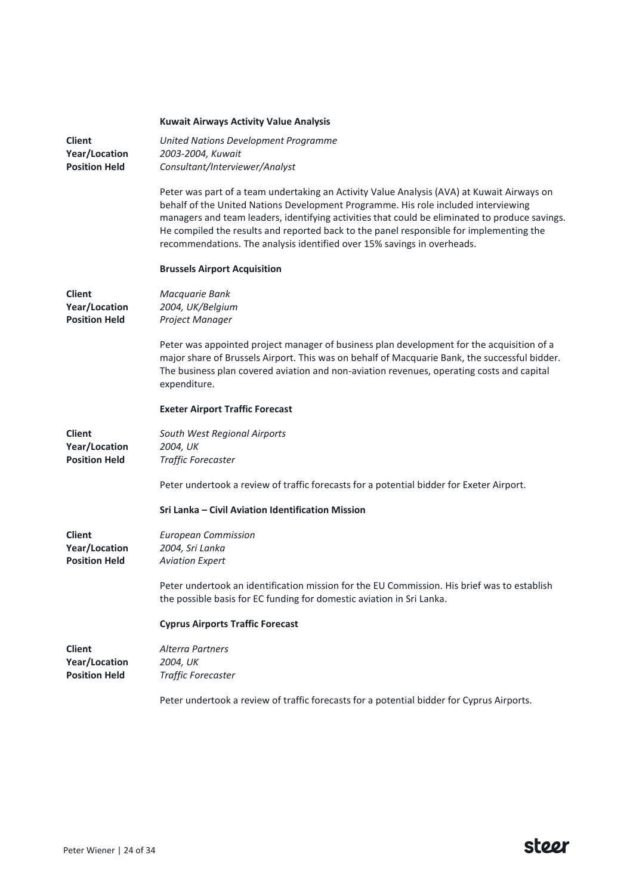|                                                        | <b>Kuwait Airways Activity Value Analysis</b>                                                                                                                                                                                                                                                                                                                                                                                                            |
|--------------------------------------------------------|----------------------------------------------------------------------------------------------------------------------------------------------------------------------------------------------------------------------------------------------------------------------------------------------------------------------------------------------------------------------------------------------------------------------------------------------------------|
| <b>Client</b><br>Year/Location<br><b>Position Held</b> | United Nations Development Programme<br>2003-2004, Kuwait<br>Consultant/Interviewer/Analyst                                                                                                                                                                                                                                                                                                                                                              |
|                                                        | Peter was part of a team undertaking an Activity Value Analysis (AVA) at Kuwait Airways on<br>behalf of the United Nations Development Programme. His role included interviewing<br>managers and team leaders, identifying activities that could be eliminated to produce savings.<br>He compiled the results and reported back to the panel responsible for implementing the<br>recommendations. The analysis identified over 15% savings in overheads. |
|                                                        | <b>Brussels Airport Acquisition</b>                                                                                                                                                                                                                                                                                                                                                                                                                      |
| <b>Client</b><br>Year/Location<br><b>Position Held</b> | Macquarie Bank<br>2004, UK/Belgium<br>Project Manager                                                                                                                                                                                                                                                                                                                                                                                                    |
|                                                        | Peter was appointed project manager of business plan development for the acquisition of a<br>major share of Brussels Airport. This was on behalf of Macquarie Bank, the successful bidder.<br>The business plan covered aviation and non-aviation revenues, operating costs and capital<br>expenditure.                                                                                                                                                  |
|                                                        | <b>Exeter Airport Traffic Forecast</b>                                                                                                                                                                                                                                                                                                                                                                                                                   |
| <b>Client</b><br>Year/Location<br><b>Position Held</b> | South West Regional Airports<br>2004, UK<br>Traffic Forecaster                                                                                                                                                                                                                                                                                                                                                                                           |
|                                                        | Peter undertook a review of traffic forecasts for a potential bidder for Exeter Airport.                                                                                                                                                                                                                                                                                                                                                                 |
|                                                        | Sri Lanka - Civil Aviation Identification Mission                                                                                                                                                                                                                                                                                                                                                                                                        |
| <b>Client</b><br>Year/Location<br><b>Position Held</b> | <b>European Commission</b><br>2004, Sri Lanka<br><b>Aviation Expert</b>                                                                                                                                                                                                                                                                                                                                                                                  |
|                                                        | Peter undertook an identification mission for the EU Commission. His brief was to establish<br>the possible basis for EC funding for domestic aviation in Sri Lanka.                                                                                                                                                                                                                                                                                     |
|                                                        | <b>Cyprus Airports Traffic Forecast</b>                                                                                                                                                                                                                                                                                                                                                                                                                  |
| <b>Client</b><br>Year/Location<br><b>Position Held</b> | <b>Alterra Partners</b><br>2004, UK<br><b>Traffic Forecaster</b>                                                                                                                                                                                                                                                                                                                                                                                         |
|                                                        | Peter undertook a review of traffic forecasts for a potential bidder for Cyprus Airports.                                                                                                                                                                                                                                                                                                                                                                |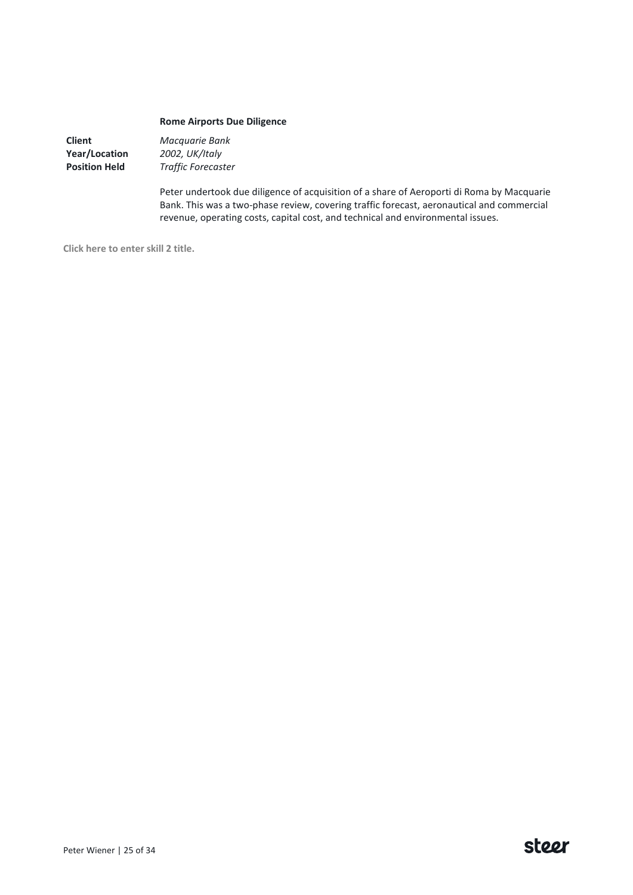# **Rome Airports Due Diligence**

**Client Year/Location Position Held**

*Macquarie Bank 2002, UK/Italy Traffic Forecaster*

Peter undertook due diligence of acquisition of a share of Aeroporti di Roma by Macquarie Bank. This was a two-phase review, covering traffic forecast, aeronautical and commercial revenue, operating costs, capital cost, and technical and environmental issues.

**Click here to enter skill 2 title.**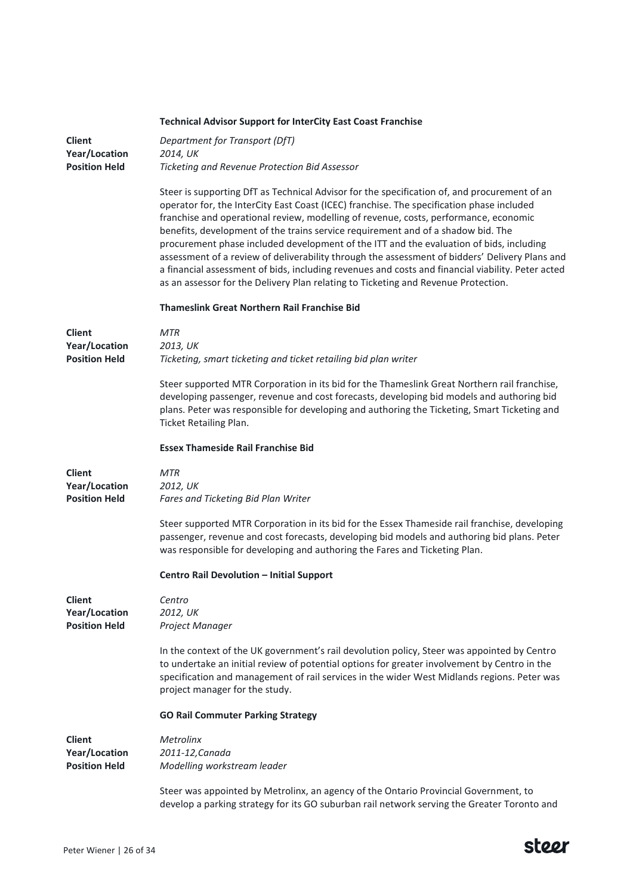|                                                        | <b>Technical Advisor Support for InterCity East Coast Franchise</b>                                                                                                                                                                                                                                                                                                                                                                                                                                                                                                                                                                                                                                                                                           |
|--------------------------------------------------------|---------------------------------------------------------------------------------------------------------------------------------------------------------------------------------------------------------------------------------------------------------------------------------------------------------------------------------------------------------------------------------------------------------------------------------------------------------------------------------------------------------------------------------------------------------------------------------------------------------------------------------------------------------------------------------------------------------------------------------------------------------------|
| <b>Client</b><br>Year/Location                         | Department for Transport (DfT)<br>2014, UK                                                                                                                                                                                                                                                                                                                                                                                                                                                                                                                                                                                                                                                                                                                    |
| <b>Position Held</b>                                   | Ticketing and Revenue Protection Bid Assessor                                                                                                                                                                                                                                                                                                                                                                                                                                                                                                                                                                                                                                                                                                                 |
|                                                        | Steer is supporting DfT as Technical Advisor for the specification of, and procurement of an<br>operator for, the InterCity East Coast (ICEC) franchise. The specification phase included<br>franchise and operational review, modelling of revenue, costs, performance, economic<br>benefits, development of the trains service requirement and of a shadow bid. The<br>procurement phase included development of the ITT and the evaluation of bids, including<br>assessment of a review of deliverability through the assessment of bidders' Delivery Plans and<br>a financial assessment of bids, including revenues and costs and financial viability. Peter acted<br>as an assessor for the Delivery Plan relating to Ticketing and Revenue Protection. |
|                                                        | Thameslink Great Northern Rail Franchise Bid                                                                                                                                                                                                                                                                                                                                                                                                                                                                                                                                                                                                                                                                                                                  |
| <b>Client</b>                                          | <b>MTR</b>                                                                                                                                                                                                                                                                                                                                                                                                                                                                                                                                                                                                                                                                                                                                                    |
| Year/Location<br><b>Position Held</b>                  | 2013, UK<br>Ticketing, smart ticketing and ticket retailing bid plan writer                                                                                                                                                                                                                                                                                                                                                                                                                                                                                                                                                                                                                                                                                   |
|                                                        | Steer supported MTR Corporation in its bid for the Thameslink Great Northern rail franchise,<br>developing passenger, revenue and cost forecasts, developing bid models and authoring bid<br>plans. Peter was responsible for developing and authoring the Ticketing, Smart Ticketing and<br>Ticket Retailing Plan.                                                                                                                                                                                                                                                                                                                                                                                                                                           |
|                                                        | <b>Essex Thameside Rail Franchise Bid</b>                                                                                                                                                                                                                                                                                                                                                                                                                                                                                                                                                                                                                                                                                                                     |
| <b>Client</b><br>Year/Location<br><b>Position Held</b> | MTR<br>2012, UK<br>Fares and Ticketing Bid Plan Writer                                                                                                                                                                                                                                                                                                                                                                                                                                                                                                                                                                                                                                                                                                        |
|                                                        | Steer supported MTR Corporation in its bid for the Essex Thameside rail franchise, developing<br>passenger, revenue and cost forecasts, developing bid models and authoring bid plans. Peter<br>was responsible for developing and authoring the Fares and Ticketing Plan.                                                                                                                                                                                                                                                                                                                                                                                                                                                                                    |
|                                                        | Centro Rail Devolution - Initial Support                                                                                                                                                                                                                                                                                                                                                                                                                                                                                                                                                                                                                                                                                                                      |
| <b>Client</b><br>Year/Location<br><b>Position Held</b> | Centro<br>2012, UK<br>Project Manager                                                                                                                                                                                                                                                                                                                                                                                                                                                                                                                                                                                                                                                                                                                         |
|                                                        | In the context of the UK government's rail devolution policy, Steer was appointed by Centro<br>to undertake an initial review of potential options for greater involvement by Centro in the<br>specification and management of rail services in the wider West Midlands regions. Peter was<br>project manager for the study.                                                                                                                                                                                                                                                                                                                                                                                                                                  |
|                                                        | <b>GO Rail Commuter Parking Strategy</b>                                                                                                                                                                                                                                                                                                                                                                                                                                                                                                                                                                                                                                                                                                                      |
| <b>Client</b><br>Year/Location<br><b>Position Held</b> | <b>Metrolinx</b><br>2011-12, Canada<br>Modelling workstream leader                                                                                                                                                                                                                                                                                                                                                                                                                                                                                                                                                                                                                                                                                            |
|                                                        | Steer was appointed by Metrolinx, an agency of the Ontario Provincial Government, to<br>develop a parking strategy for its GO suburban rail network serving the Greater Toronto and                                                                                                                                                                                                                                                                                                                                                                                                                                                                                                                                                                           |

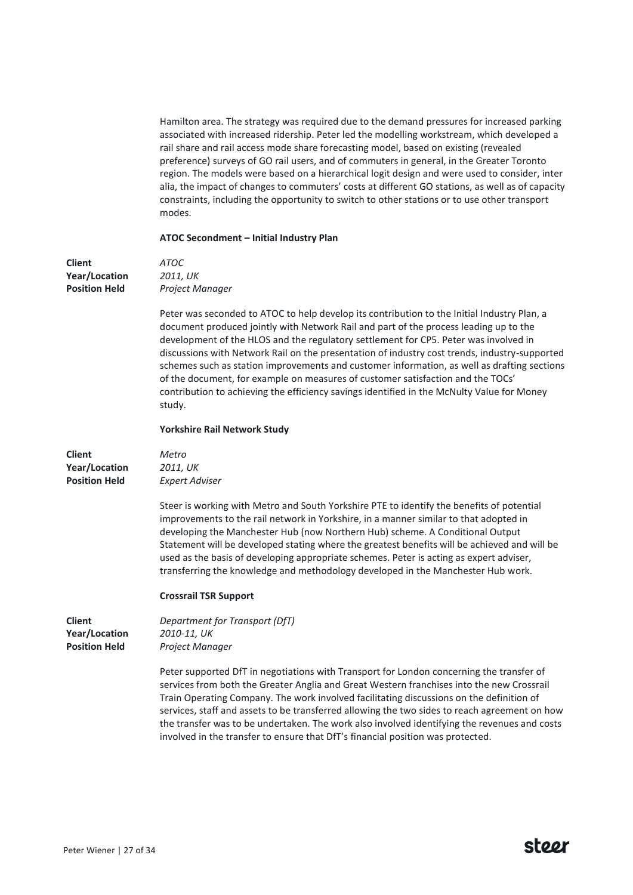Hamilton area. The strategy was required due to the demand pressures for increased parking associated with increased ridership. Peter led the modelling workstream, which developed a rail share and rail access mode share forecasting model, based on existing (revealed preference) surveys of GO rail users, and of commuters in general, in the Greater Toronto region. The models were based on a hierarchical logit design and were used to consider, inter alia, the impact of changes to commuters' costs at different GO stations, as well as of capacity constraints, including the opportunity to switch to other stations or to use other transport modes.

# **ATOC Secondment – Initial Industry Plan**

| <b>Client</b>                                          | ATOC                                                                                                                                                                                                                                                                                                                                                                                                                                                                                                                                                                                                                                                                    |
|--------------------------------------------------------|-------------------------------------------------------------------------------------------------------------------------------------------------------------------------------------------------------------------------------------------------------------------------------------------------------------------------------------------------------------------------------------------------------------------------------------------------------------------------------------------------------------------------------------------------------------------------------------------------------------------------------------------------------------------------|
| Year/Location                                          | 2011, UK                                                                                                                                                                                                                                                                                                                                                                                                                                                                                                                                                                                                                                                                |
| <b>Position Held</b>                                   | Project Manager                                                                                                                                                                                                                                                                                                                                                                                                                                                                                                                                                                                                                                                         |
|                                                        | Peter was seconded to ATOC to help develop its contribution to the Initial Industry Plan, a<br>document produced jointly with Network Rail and part of the process leading up to the<br>development of the HLOS and the regulatory settlement for CP5. Peter was involved in<br>discussions with Network Rail on the presentation of industry cost trends, industry-supported<br>schemes such as station improvements and customer information, as well as drafting sections<br>of the document, for example on measures of customer satisfaction and the TOCs'<br>contribution to achieving the efficiency savings identified in the McNulty Value for Money<br>study. |
|                                                        | Yorkshire Rail Network Study                                                                                                                                                                                                                                                                                                                                                                                                                                                                                                                                                                                                                                            |
| <b>Client</b><br>Year/Location<br><b>Position Held</b> | Metro<br>2011, UK<br><b>Expert Adviser</b>                                                                                                                                                                                                                                                                                                                                                                                                                                                                                                                                                                                                                              |
|                                                        | Steer is working with Metro and South Yorkshire PTE to identify the benefits of potential<br>improvements to the rail network in Yorkshire, in a manner similar to that adopted in<br>developing the Manchester Hub (now Northern Hub) scheme. A Conditional Output<br>Statement will be developed stating where the greatest benefits will be achieved and will be<br>used as the basis of developing appropriate schemes. Peter is acting as expert adviser,<br>transferring the knowledge and methodology developed in the Manchester Hub work.                                                                                                                      |
|                                                        | <b>Crossrail TSR Support</b>                                                                                                                                                                                                                                                                                                                                                                                                                                                                                                                                                                                                                                            |
| <b>Client</b><br>Year/Location<br><b>Position Held</b> | Department for Transport (DfT)<br>2010-11, UK<br>Project Manager                                                                                                                                                                                                                                                                                                                                                                                                                                                                                                                                                                                                        |
|                                                        | Peter supported DfT in negotiations with Transport for London concerning the transfer of<br>services from both the Greater Anglia and Great Western franchises into the new Crossrail<br>Train Operating Company. The work involved facilitating discussions on the definition of<br>services, staff and assets to be transferred allowing the two sides to reach agreement on how<br>the transfer was to be undertaken. The work also involved identifying the revenues and costs<br>involved in the transfer to ensure that DfT's financial position was protected.                                                                                                   |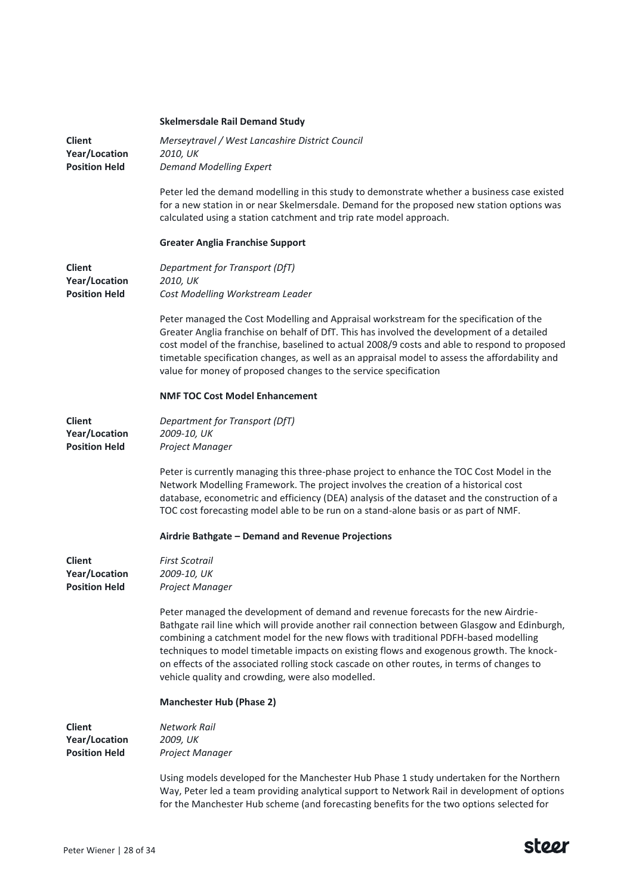|                                | <b>Skelmersdale Rail Demand Study</b>                                                                                                                                                                                                                                                                                                                                                                                                                                                                                    |
|--------------------------------|--------------------------------------------------------------------------------------------------------------------------------------------------------------------------------------------------------------------------------------------------------------------------------------------------------------------------------------------------------------------------------------------------------------------------------------------------------------------------------------------------------------------------|
| <b>Client</b><br>Year/Location | Merseytravel / West Lancashire District Council<br>2010, UK                                                                                                                                                                                                                                                                                                                                                                                                                                                              |
| <b>Position Held</b>           | <b>Demand Modelling Expert</b>                                                                                                                                                                                                                                                                                                                                                                                                                                                                                           |
|                                | Peter led the demand modelling in this study to demonstrate whether a business case existed<br>for a new station in or near Skelmersdale. Demand for the proposed new station options was<br>calculated using a station catchment and trip rate model approach.                                                                                                                                                                                                                                                          |
|                                | <b>Greater Anglia Franchise Support</b>                                                                                                                                                                                                                                                                                                                                                                                                                                                                                  |
| <b>Client</b><br>Year/Location | Department for Transport (DfT)<br>2010, UK                                                                                                                                                                                                                                                                                                                                                                                                                                                                               |
| <b>Position Held</b>           | Cost Modelling Workstream Leader                                                                                                                                                                                                                                                                                                                                                                                                                                                                                         |
|                                | Peter managed the Cost Modelling and Appraisal workstream for the specification of the<br>Greater Anglia franchise on behalf of DfT. This has involved the development of a detailed<br>cost model of the franchise, baselined to actual 2008/9 costs and able to respond to proposed<br>timetable specification changes, as well as an appraisal model to assess the affordability and<br>value for money of proposed changes to the service specification                                                              |
|                                | <b>NMF TOC Cost Model Enhancement</b>                                                                                                                                                                                                                                                                                                                                                                                                                                                                                    |
| <b>Client</b>                  | Department for Transport (DfT)                                                                                                                                                                                                                                                                                                                                                                                                                                                                                           |
| Year/Location                  | 2009-10, UK                                                                                                                                                                                                                                                                                                                                                                                                                                                                                                              |
| <b>Position Held</b>           | Project Manager                                                                                                                                                                                                                                                                                                                                                                                                                                                                                                          |
|                                | Peter is currently managing this three-phase project to enhance the TOC Cost Model in the<br>Network Modelling Framework. The project involves the creation of a historical cost<br>database, econometric and efficiency (DEA) analysis of the dataset and the construction of a<br>TOC cost forecasting model able to be run on a stand-alone basis or as part of NMF.                                                                                                                                                  |
|                                | Airdrie Bathgate - Demand and Revenue Projections                                                                                                                                                                                                                                                                                                                                                                                                                                                                        |
| <b>Client</b>                  | <b>First Scotrail</b>                                                                                                                                                                                                                                                                                                                                                                                                                                                                                                    |
| Year/Location                  | 2009-10, UK                                                                                                                                                                                                                                                                                                                                                                                                                                                                                                              |
| <b>Position Held</b>           | Project Manager                                                                                                                                                                                                                                                                                                                                                                                                                                                                                                          |
|                                | Peter managed the development of demand and revenue forecasts for the new Airdrie-<br>Bathgate rail line which will provide another rail connection between Glasgow and Edinburgh,<br>combining a catchment model for the new flows with traditional PDFH-based modelling<br>techniques to model timetable impacts on existing flows and exogenous growth. The knock-<br>on effects of the associated rolling stock cascade on other routes, in terms of changes to<br>vehicle quality and crowding, were also modelled. |
|                                | <b>Manchester Hub (Phase 2)</b>                                                                                                                                                                                                                                                                                                                                                                                                                                                                                          |
| <b>Client</b>                  | <b>Network Rail</b>                                                                                                                                                                                                                                                                                                                                                                                                                                                                                                      |
| Year/Location                  | 2009, UK                                                                                                                                                                                                                                                                                                                                                                                                                                                                                                                 |
| <b>Position Held</b>           | Project Manager                                                                                                                                                                                                                                                                                                                                                                                                                                                                                                          |
|                                | Using models developed for the Manchester Hub Phase 1 study undertaken for the Northern<br>Way, Peter led a team providing analytical support to Network Rail in development of options                                                                                                                                                                                                                                                                                                                                  |

for the Manchester Hub scheme (and forecasting benefits for the two options selected for

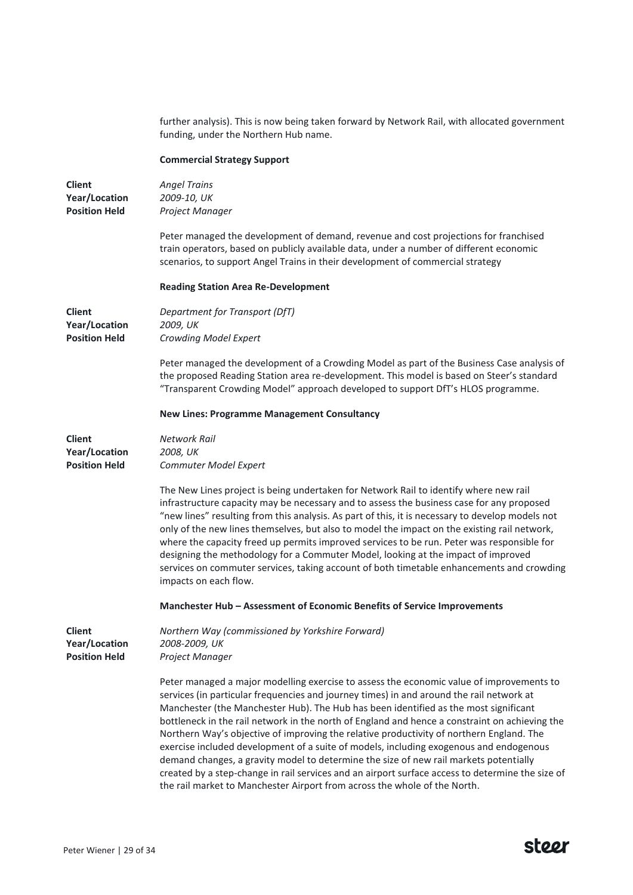further analysis). This is now being taken forward by Network Rail, with allocated government funding, under the Northern Hub name. **Commercial Strategy Support Client Year/Location Position Held** *Angel Trains 2009-10, UK Project Manager* Peter managed the development of demand, revenue and cost projections for franchised train operators, based on publicly available data, under a number of different economic scenarios, to support Angel Trains in their development of commercial strategy **Reading Station Area Re-Development Client Year/Location Position Held** *Department for Transport (DfT) 2009, UK Crowding Model Expert* Peter managed the development of a Crowding Model as part of the Business Case analysis of the proposed Reading Station area re-development. This model is based on Steer's standard "Transparent Crowding Model" approach developed to support DfT's HLOS programme. **New Lines: Programme Management Consultancy Client Year/Location Position Held** *Network Rail 2008, UK Commuter Model Expert* The New Lines project is being undertaken for Network Rail to identify where new rail infrastructure capacity may be necessary and to assess the business case for any proposed "new lines" resulting from this analysis. As part of this, it is necessary to develop models not only of the new lines themselves, but also to model the impact on the existing rail network, where the capacity freed up permits improved services to be run. Peter was responsible for designing the methodology for a Commuter Model, looking at the impact of improved services on commuter services, taking account of both timetable enhancements and crowding impacts on each flow. **Manchester Hub – Assessment of Economic Benefits of Service Improvements Client Year/Location Position Held** *Northern Way (commissioned by Yorkshire Forward) 2008-2009, UK Project Manager* Peter managed a major modelling exercise to assess the economic value of improvements to services (in particular frequencies and journey times) in and around the rail network at Manchester (the Manchester Hub). The Hub has been identified as the most significant bottleneck in the rail network in the north of England and hence a constraint on achieving the Northern Way's objective of improving the relative productivity of northern England. The exercise included development of a suite of models, including exogenous and endogenous demand changes, a gravity model to determine the size of new rail markets potentially created by a step-change in rail services and an airport surface access to determine the size of the rail market to Manchester Airport from across the whole of the North.

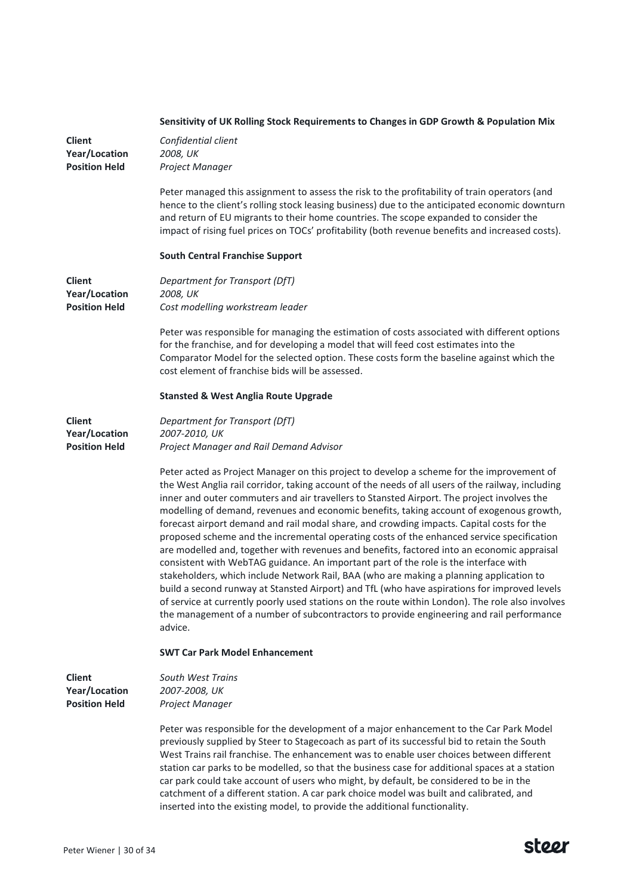|                                                               | Sensitivity of UK Rolling Stock Requirements to Changes in GDP Growth & Population Mix                                                                                                                                                                                                                                                                                                                                                                                                                                                                                                                                                                                                                                                                                                                                                                                                                                                                                                                                                                                                                                                                                         |
|---------------------------------------------------------------|--------------------------------------------------------------------------------------------------------------------------------------------------------------------------------------------------------------------------------------------------------------------------------------------------------------------------------------------------------------------------------------------------------------------------------------------------------------------------------------------------------------------------------------------------------------------------------------------------------------------------------------------------------------------------------------------------------------------------------------------------------------------------------------------------------------------------------------------------------------------------------------------------------------------------------------------------------------------------------------------------------------------------------------------------------------------------------------------------------------------------------------------------------------------------------|
| <b>Client</b><br>Year/Location<br><b>Position Held</b>        | Confidential client<br>2008, UK<br>Project Manager                                                                                                                                                                                                                                                                                                                                                                                                                                                                                                                                                                                                                                                                                                                                                                                                                                                                                                                                                                                                                                                                                                                             |
|                                                               | Peter managed this assignment to assess the risk to the profitability of train operators (and<br>hence to the client's rolling stock leasing business) due to the anticipated economic downturn<br>and return of EU migrants to their home countries. The scope expanded to consider the<br>impact of rising fuel prices on TOCs' profitability (both revenue benefits and increased costs).                                                                                                                                                                                                                                                                                                                                                                                                                                                                                                                                                                                                                                                                                                                                                                                   |
|                                                               | <b>South Central Franchise Support</b>                                                                                                                                                                                                                                                                                                                                                                                                                                                                                                                                                                                                                                                                                                                                                                                                                                                                                                                                                                                                                                                                                                                                         |
| <b>Client</b><br><b>Year/Location</b><br><b>Position Held</b> | Department for Transport (DfT)<br>2008, UK<br>Cost modelling workstream leader                                                                                                                                                                                                                                                                                                                                                                                                                                                                                                                                                                                                                                                                                                                                                                                                                                                                                                                                                                                                                                                                                                 |
|                                                               | Peter was responsible for managing the estimation of costs associated with different options<br>for the franchise, and for developing a model that will feed cost estimates into the<br>Comparator Model for the selected option. These costs form the baseline against which the<br>cost element of franchise bids will be assessed.                                                                                                                                                                                                                                                                                                                                                                                                                                                                                                                                                                                                                                                                                                                                                                                                                                          |
|                                                               | <b>Stansted &amp; West Anglia Route Upgrade</b>                                                                                                                                                                                                                                                                                                                                                                                                                                                                                                                                                                                                                                                                                                                                                                                                                                                                                                                                                                                                                                                                                                                                |
| <b>Client</b><br><b>Year/Location</b><br><b>Position Held</b> | Department for Transport (DfT)<br>2007-2010, UK<br>Project Manager and Rail Demand Advisor                                                                                                                                                                                                                                                                                                                                                                                                                                                                                                                                                                                                                                                                                                                                                                                                                                                                                                                                                                                                                                                                                     |
|                                                               | Peter acted as Project Manager on this project to develop a scheme for the improvement of<br>the West Anglia rail corridor, taking account of the needs of all users of the railway, including<br>inner and outer commuters and air travellers to Stansted Airport. The project involves the<br>modelling of demand, revenues and economic benefits, taking account of exogenous growth,<br>forecast airport demand and rail modal share, and crowding impacts. Capital costs for the<br>proposed scheme and the incremental operating costs of the enhanced service specification<br>are modelled and, together with revenues and benefits, factored into an economic appraisal<br>consistent with WebTAG guidance. An important part of the role is the interface with<br>stakeholders, which include Network Rail, BAA (who are making a planning application to<br>build a second runway at Stansted Airport) and TfL (who have aspirations for improved levels<br>of service at currently poorly used stations on the route within London). The role also involves<br>the management of a number of subcontractors to provide engineering and rail performance<br>advice. |
|                                                               | <b>SWT Car Park Model Enhancement</b>                                                                                                                                                                                                                                                                                                                                                                                                                                                                                                                                                                                                                                                                                                                                                                                                                                                                                                                                                                                                                                                                                                                                          |
| <b>Client</b><br>Year/Location<br><b>Position Held</b>        | South West Trains<br>2007-2008, UK<br>Project Manager                                                                                                                                                                                                                                                                                                                                                                                                                                                                                                                                                                                                                                                                                                                                                                                                                                                                                                                                                                                                                                                                                                                          |
|                                                               | Peter was responsible for the development of a major enhancement to the Car Park Model<br>previously supplied by Steer to Stagecoach as part of its successful bid to retain the South<br>West Trains rail franchise. The enhancement was to enable user choices between different<br>station car parks to be modelled, so that the business case for additional spaces at a station<br>car park could take account of users who might, by default, be considered to be in the<br>catchment of a different station. A car park choice model was built and calibrated, and<br>inserted into the existing model, to provide the additional functionality.                                                                                                                                                                                                                                                                                                                                                                                                                                                                                                                        |

Peter Wiener | 30 of 34

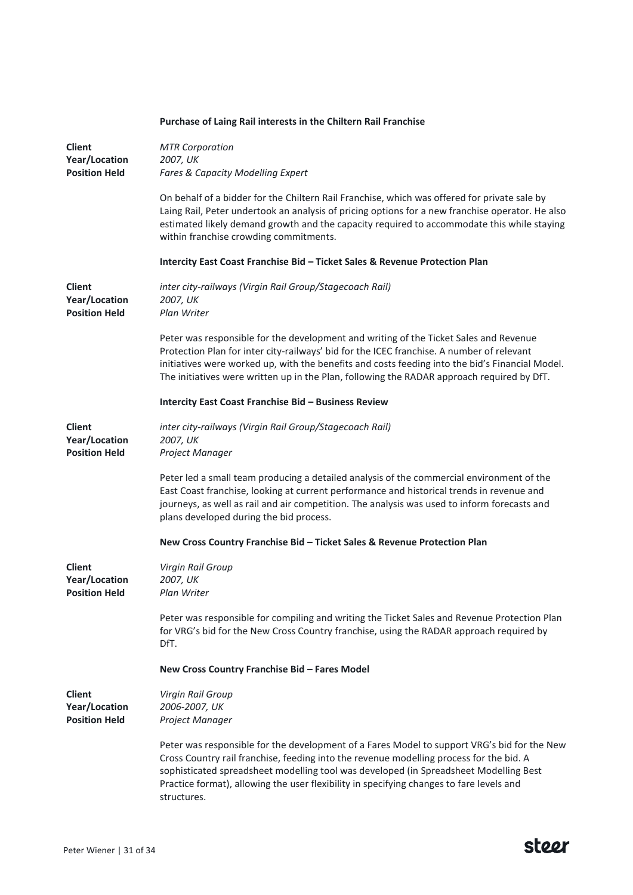|                                                        | Purchase of Laing Rail interests in the Chiltern Rail Franchise                                                                                                                                                                                                                                                                                                                            |
|--------------------------------------------------------|--------------------------------------------------------------------------------------------------------------------------------------------------------------------------------------------------------------------------------------------------------------------------------------------------------------------------------------------------------------------------------------------|
| <b>Client</b><br>Year/Location<br><b>Position Held</b> | <b>MTR Corporation</b><br>2007, UK<br>Fares & Capacity Modelling Expert                                                                                                                                                                                                                                                                                                                    |
|                                                        | On behalf of a bidder for the Chiltern Rail Franchise, which was offered for private sale by<br>Laing Rail, Peter undertook an analysis of pricing options for a new franchise operator. He also<br>estimated likely demand growth and the capacity required to accommodate this while staying<br>within franchise crowding commitments.                                                   |
|                                                        | Intercity East Coast Franchise Bid - Ticket Sales & Revenue Protection Plan                                                                                                                                                                                                                                                                                                                |
| <b>Client</b><br>Year/Location<br><b>Position Held</b> | inter city-railways (Virgin Rail Group/Stagecoach Rail)<br>2007, UK<br>Plan Writer                                                                                                                                                                                                                                                                                                         |
|                                                        | Peter was responsible for the development and writing of the Ticket Sales and Revenue<br>Protection Plan for inter city-railways' bid for the ICEC franchise. A number of relevant<br>initiatives were worked up, with the benefits and costs feeding into the bid's Financial Model.<br>The initiatives were written up in the Plan, following the RADAR approach required by DfT.        |
|                                                        | Intercity East Coast Franchise Bid - Business Review                                                                                                                                                                                                                                                                                                                                       |
| <b>Client</b><br>Year/Location<br><b>Position Held</b> | inter city-railways (Virgin Rail Group/Stagecoach Rail)<br>2007, UK<br>Project Manager                                                                                                                                                                                                                                                                                                     |
|                                                        | Peter led a small team producing a detailed analysis of the commercial environment of the<br>East Coast franchise, looking at current performance and historical trends in revenue and<br>journeys, as well as rail and air competition. The analysis was used to inform forecasts and<br>plans developed during the bid process.                                                          |
|                                                        | New Cross Country Franchise Bid - Ticket Sales & Revenue Protection Plan                                                                                                                                                                                                                                                                                                                   |
| <b>Client</b><br>Year/Location<br><b>Position Held</b> | Virgin Rail Group<br>2007, UK<br>Plan Writer                                                                                                                                                                                                                                                                                                                                               |
|                                                        | Peter was responsible for compiling and writing the Ticket Sales and Revenue Protection Plan<br>for VRG's bid for the New Cross Country franchise, using the RADAR approach required by<br>DfT.                                                                                                                                                                                            |
|                                                        | New Cross Country Franchise Bid - Fares Model                                                                                                                                                                                                                                                                                                                                              |
| <b>Client</b><br>Year/Location<br><b>Position Held</b> | Virgin Rail Group<br>2006-2007, UK<br>Project Manager                                                                                                                                                                                                                                                                                                                                      |
|                                                        | Peter was responsible for the development of a Fares Model to support VRG's bid for the New<br>Cross Country rail franchise, feeding into the revenue modelling process for the bid. A<br>sophisticated spreadsheet modelling tool was developed (in Spreadsheet Modelling Best<br>Practice format), allowing the user flexibility in specifying changes to fare levels and<br>structures. |

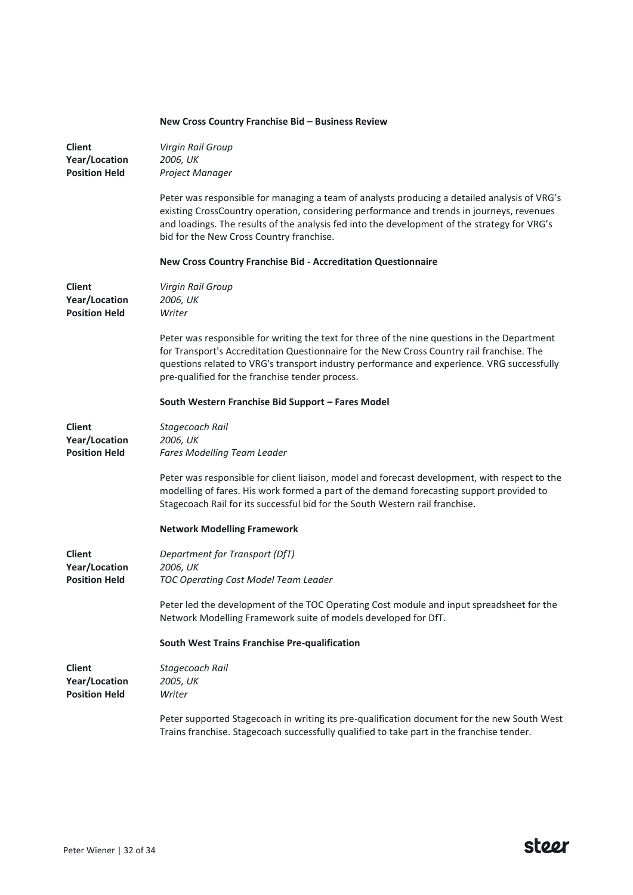|                                                               | New Cross Country Franchise Bid – Business Review                                                                                                                                                                                                                                                                                          |
|---------------------------------------------------------------|--------------------------------------------------------------------------------------------------------------------------------------------------------------------------------------------------------------------------------------------------------------------------------------------------------------------------------------------|
| <b>Client</b><br>Year/Location<br><b>Position Held</b>        | Virgin Rail Group<br>2006, UK<br>Project Manager                                                                                                                                                                                                                                                                                           |
|                                                               | Peter was responsible for managing a team of analysts producing a detailed analysis of VRG's<br>existing CrossCountry operation, considering performance and trends in journeys, revenues<br>and loadings. The results of the analysis fed into the development of the strategy for VRG's<br>bid for the New Cross Country franchise.      |
|                                                               | New Cross Country Franchise Bid - Accreditation Questionnaire                                                                                                                                                                                                                                                                              |
| <b>Client</b><br>Year/Location<br><b>Position Held</b>        | Virgin Rail Group<br>2006, UK<br>Writer                                                                                                                                                                                                                                                                                                    |
|                                                               | Peter was responsible for writing the text for three of the nine questions in the Department<br>for Transport's Accreditation Questionnaire for the New Cross Country rail franchise. The<br>questions related to VRG's transport industry performance and experience. VRG successfully<br>pre-qualified for the franchise tender process. |
|                                                               | South Western Franchise Bid Support - Fares Model                                                                                                                                                                                                                                                                                          |
| <b>Client</b><br>Year/Location<br><b>Position Held</b>        | Stagecoach Rail<br>2006, UK<br>Fares Modelling Team Leader                                                                                                                                                                                                                                                                                 |
|                                                               | Peter was responsible for client liaison, model and forecast development, with respect to the<br>modelling of fares. His work formed a part of the demand forecasting support provided to<br>Stagecoach Rail for its successful bid for the South Western rail franchise.                                                                  |
|                                                               | <b>Network Modelling Framework</b>                                                                                                                                                                                                                                                                                                         |
| <b>Client</b><br>Year/Location<br><b>Position Held</b>        | Department for Transport (DfT)<br>2006, UK<br><b>TOC Operating Cost Model Team Leader</b>                                                                                                                                                                                                                                                  |
|                                                               | Peter led the development of the TOC Operating Cost module and input spreadsheet for the<br>Network Modelling Framework suite of models developed for DfT.                                                                                                                                                                                 |
|                                                               | South West Trains Franchise Pre-qualification                                                                                                                                                                                                                                                                                              |
| <b>Client</b><br><b>Year/Location</b><br><b>Position Held</b> | Stagecoach Rail<br>2005, UK<br>Writer                                                                                                                                                                                                                                                                                                      |
|                                                               | Peter supported Stagecoach in writing its pre-qualification document for the new South West<br>Trains franchise. Stagecoach successfully qualified to take part in the franchise tender.                                                                                                                                                   |

# **New Cross Country Franchise Bid – Business Review**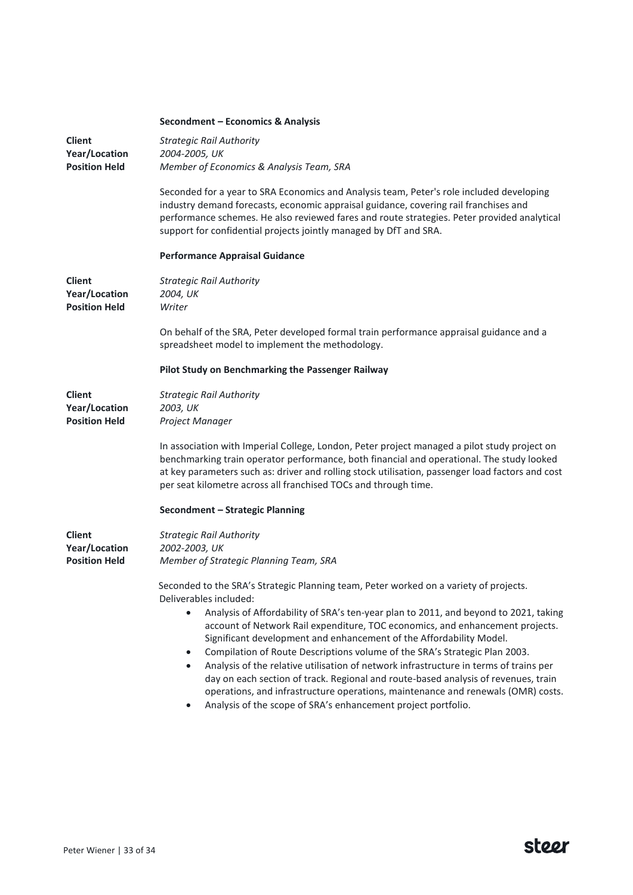|                                                               | Secondment - Economics & Analysis                                                                                                                                                                                                                                                                                                                                                                                                                                                                                                                                                                                                                                                                                                                                                                                        |
|---------------------------------------------------------------|--------------------------------------------------------------------------------------------------------------------------------------------------------------------------------------------------------------------------------------------------------------------------------------------------------------------------------------------------------------------------------------------------------------------------------------------------------------------------------------------------------------------------------------------------------------------------------------------------------------------------------------------------------------------------------------------------------------------------------------------------------------------------------------------------------------------------|
| <b>Client</b><br>Year/Location<br><b>Position Held</b>        | <b>Strategic Rail Authority</b><br>2004-2005, UK<br>Member of Economics & Analysis Team, SRA                                                                                                                                                                                                                                                                                                                                                                                                                                                                                                                                                                                                                                                                                                                             |
|                                                               | Seconded for a year to SRA Economics and Analysis team, Peter's role included developing<br>industry demand forecasts, economic appraisal guidance, covering rail franchises and<br>performance schemes. He also reviewed fares and route strategies. Peter provided analytical<br>support for confidential projects jointly managed by DfT and SRA.                                                                                                                                                                                                                                                                                                                                                                                                                                                                     |
|                                                               | <b>Performance Appraisal Guidance</b>                                                                                                                                                                                                                                                                                                                                                                                                                                                                                                                                                                                                                                                                                                                                                                                    |
| <b>Client</b><br>Year/Location<br><b>Position Held</b>        | <b>Strategic Rail Authority</b><br>2004, UK<br>Writer                                                                                                                                                                                                                                                                                                                                                                                                                                                                                                                                                                                                                                                                                                                                                                    |
|                                                               | On behalf of the SRA, Peter developed formal train performance appraisal guidance and a<br>spreadsheet model to implement the methodology.                                                                                                                                                                                                                                                                                                                                                                                                                                                                                                                                                                                                                                                                               |
|                                                               | Pilot Study on Benchmarking the Passenger Railway                                                                                                                                                                                                                                                                                                                                                                                                                                                                                                                                                                                                                                                                                                                                                                        |
| <b>Client</b><br>Year/Location<br><b>Position Held</b>        | <b>Strategic Rail Authority</b><br>2003, UK<br>Project Manager                                                                                                                                                                                                                                                                                                                                                                                                                                                                                                                                                                                                                                                                                                                                                           |
|                                                               | In association with Imperial College, London, Peter project managed a pilot study project on<br>benchmarking train operator performance, both financial and operational. The study looked<br>at key parameters such as: driver and rolling stock utilisation, passenger load factors and cost<br>per seat kilometre across all franchised TOCs and through time.                                                                                                                                                                                                                                                                                                                                                                                                                                                         |
|                                                               | Secondment - Strategic Planning                                                                                                                                                                                                                                                                                                                                                                                                                                                                                                                                                                                                                                                                                                                                                                                          |
| <b>Client</b><br><b>Year/Location</b><br><b>Position Held</b> | <b>Strategic Rail Authority</b><br>2002-2003, UK<br>Member of Strategic Planning Team, SRA                                                                                                                                                                                                                                                                                                                                                                                                                                                                                                                                                                                                                                                                                                                               |
|                                                               | Seconded to the SRA's Strategic Planning team, Peter worked on a variety of projects.<br>Deliverables included:<br>Analysis of Affordability of SRA's ten-year plan to 2011, and beyond to 2021, taking<br>$\bullet$<br>account of Network Rail expenditure, TOC economics, and enhancement projects.<br>Significant development and enhancement of the Affordability Model.<br>Compilation of Route Descriptions volume of the SRA's Strategic Plan 2003.<br>$\bullet$<br>Analysis of the relative utilisation of network infrastructure in terms of trains per<br>$\bullet$<br>day on each section of track. Regional and route-based analysis of revenues, train<br>operations, and infrastructure operations, maintenance and renewals (OMR) costs.<br>Analysis of the scope of SRA's enhancement project portfolio. |